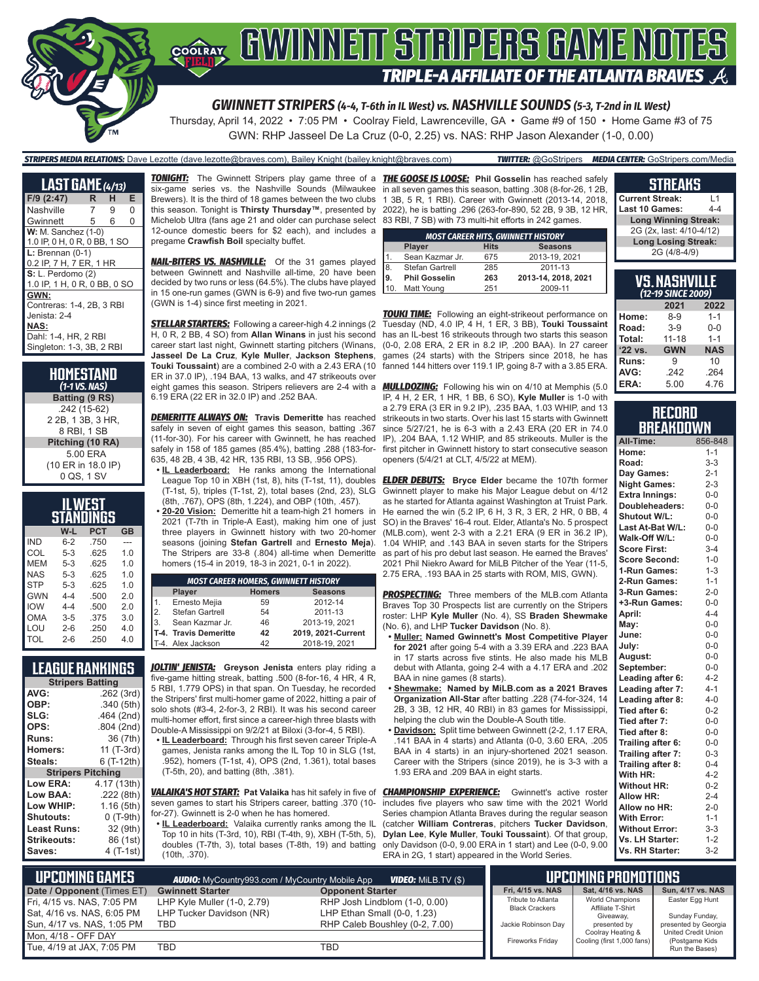

*GWINNETT STRIPERS (4-4, T-6th in IL West) vs. NASHVILLE SOUNDS (5-3, T-2nd in IL West)*

Thursday, April 14, 2022 • 7:05 PM • Coolray Field, Lawrenceville, GA • Game #9 of 150 • Home Game #3 of 75 GWN: RHP Jasseel De La Cruz (0-0, 2.25) vs. NAS: RHP Jason Alexander (1-0, 0.00)

*STRIPERS MEDIA RELATIONS:* Dave Lezotte (dave.lezotte@braves.com), Bailey Knight (bailey.knight@braves.com) *TWITTER:* @GoStripers *MEDIA CENTER:* GoStripers.com/Media

| <b>LAST GAME</b> $(4/13)$    |   |   |   |
|------------------------------|---|---|---|
| F/9 (2:47)                   | R | н | Е |
| Nashville                    | 7 | 9 | 0 |
| Gwinnett                     | 5 | 6 | 0 |
| $W: M.$ Sanchez $(1-0)$      |   |   |   |
| 1.0 IP, 0 H, 0 R, 0 BB, 1 SO |   |   |   |
| $L:$ Brennan (0-1)           |   |   |   |
| 0.2 IP, 7 H, 7 ER, 1 HR      |   |   |   |
| S: L. Perdomo (2)            |   |   |   |
| 1.0 IP, 1 H, 0 R, 0 BB, 0 SO |   |   |   |
| GWN:                         |   |   |   |
| Contreras: 1-4, 2B, 3 RBI    |   |   |   |
| Jenista: 2-4                 |   |   |   |
| NAS:                         |   |   |   |
| Dahl: 1-4, HR, 2 RBI         |   |   |   |
| Singleton: 1-3, 3B, 2 RBI    |   |   |   |

| HOMESTAND<br>$(1-1$ VS. NAS) |
|------------------------------|
| Batting (9 RS)               |
| .242 (15-62)                 |
| 2 2B, 1 3B, 3 HR,            |
| 8 RBI. 1 SB                  |
| Pitching (10 RA)             |
| 5.00 ERA                     |
| (10 ER in 18.0 IP)           |
| 0 QS, 1 SV                   |

|            |         | ILWEST<br>STANDINGS |                |
|------------|---------|---------------------|----------------|
|            | W-L     | <b>PCT</b>          | <b>GB</b>      |
| <b>IND</b> | $6 - 2$ | .750                |                |
| COL        | $5-3$   | .625                | 1.0            |
| MEM        | $5-3$   | .625                | 1.0            |
| <b>NAS</b> | $5-3$   | .625                | 1 <sub>0</sub> |
| <b>STP</b> | $5-3$   | .625                | 1.0            |
| GWN        | $4 - 4$ | .500                | 20             |
| <b>IOW</b> | $4 - 4$ | .500                | 20             |
| OMA        | $3 - 5$ | .375                | 3.0            |
| LOU        | $2 - 6$ | .250                | 4.0            |
| TOL        | $2-6$   | 250                 | 4.0            |

#### **LEAGUE RANKINGS Stripers Batting**<br>262 **AVG:** .262 (3rd)<br>**OBP:** .340 (5th) **OBP:** .340 (5th)<br>**SLG:** .464 (2nd) **SLG:** .464 (2nd)<br>**OPS:** .804 (2nd) **OPS:** .804 (2nd) **Runs:** 36 (7th) **Homers:** 11 (T-3rd)<br>**Steals:** 6 (T-12th) **Steals:** 6 (T-12th) **Stripers Pitching Low ERA:** 4.17 (13th) Low BAA: **Low WHIP:** 1.16 (5th) **Shutouts:** 0 (T-9th) **Least Runs: Strikeouts:** 86 (1st)<br>**Saves:** 4 (T-1st) **Saves:** 4 (T-1st)

Michelob Ultra (fans age 21 and older can purchase select 83 RBI, 7 SB) with 73 multi-hit efforts in 242 games. 12-ounce domestic beers for \$2 each), and includes a pregame **Crawfish Boil** specialty buffet.

*NAIL-BITERS VS. NASHVILLE:* Of the 31 games played between Gwinnett and Nashville all-time, 20 have been decided by two runs or less (64.5%). The clubs have played in 15 one-run games (GWN is 6-9) and five two-run games (GWN is 1-4) since first meeting in 2021.

*STELLAR STARTERS:* Following a career-high 4.2 innings (2 H, 0 R, 2 BB, 4 SO) from **Allan Winans** in just his second career start last night, Gwinnett starting pitchers (Winans, **Jasseel De La Cruz**, **Kyle Muller**, **Jackson Stephens**, **Touki Toussaint**) are a combined 2-0 with a 2.43 ERA (10 ER in 37.0 IP), .194 BAA, 13 walks, and 47 strikeouts over eight games this season. Stripers relievers are 2-4 with a 6.19 ERA (22 ER in 32.0 IP) and .252 BAA.

*DEMERITTE ALWAYS ON:* **Travis Demeritte** has reached safely in seven of eight games this season, batting .367 (11-for-30). For his career with Gwinnett, he has reached safely in 158 of 185 games (85.4%), batting .288 (183-for-635, 48 2B, 4 3B, 42 HR, 135 RBI, 13 SB, .956 OPS).

**• IL Leaderboard:** He ranks among the International (T-1st, 5), triples (T-1st, 2), total bases (2nd, 23), SLG (8th, .767), OPS (8th, 1.224), and OBP (10th, .457).

**• 20-20 Vision:** Demeritte hit a team-high 21 homers in 2021 (T-7th in Triple-A East), making him one of just three players in Gwinnett history with two 20-homer seasons (joining **Stefan Gartrell** and **Ernesto Meja**). The Stripers are 33-8 (.804) all-time when Demeritte homers (15-4 in 2019, 18-3 in 2021, 0-1 in 2022).

|     | <b>MOST CAREER HOMERS, GWINNETT HISTORY</b> |               |                    |  |  |
|-----|---------------------------------------------|---------------|--------------------|--|--|
|     | Player                                      | <b>Homers</b> | <b>Seasons</b>     |  |  |
| 1.  | Ernesto Mejia                               | 59            | 2012-14            |  |  |
| 2.  | Stefan Gartrell                             | 54            | 2011-13            |  |  |
| 13. | Sean Kazmar Jr.                             | 46            | 2013-19, 2021      |  |  |
|     | T-4. Travis Demeritte                       | 42            | 2019, 2021-Current |  |  |
|     | T-4. Alex Jackson                           | 42            | 2018-19, 2021      |  |  |

*JOLTIN' JENISTA:* **Greyson Jenista** enters play riding a five-game hitting streak, batting .500 (8-for-16, 4 HR, 4 R, 5 RBI, 1.779 OPS) in that span. On Tuesday, he recorded the Stripers' first multi-homer game of 2022, hitting a pair of solo shots (#3-4, 2-for-3, 2 RBI). It was his second career multi-homer effort, first since a career-high three blasts with Double-A Mississippi on 9/2/21 at Biloxi (3-for-4, 5 RBI).

**• IL Leaderboard:** Through his first seven career Triple-A games, Jenista ranks among the IL Top 10 in SLG (1st, .952), homers (T-1st, 4), OPS (2nd, 1.361), total bases (T-5th, 20), and batting (8th, .381).

*VALAIKA'S HOT START:* **Pat Valaika** has hit safely in five of seven games to start his Stripers career, batting .370 (10 for-27). Gwinnett is 2-0 when he has homered.

**• IL Leaderboard:** Valaika currently ranks among the IL Top 10 in hits (T-3rd, 10), RBI (T-4th, 9), XBH (T-5th, 5), doubles (T-7th, 3), total bases (T-8th, 19) and batting (10th, .370).

*TONIGHT:* The Gwinnett Stripers play game three of a *THE GOOSE IS LOOSE:* **Phil Gosselin** has reached safely six-game series vs. the Nashville Sounds (Milwaukee in all seven games this season, batting .308 (8-for-26, 1 2B, Brewers). It is the third of 18 games between the two clubs 1 3B, 5 R, 1 RBI). Career with Gwinnett (2013-14, 2018, this season. Tonight is **Thirsty Thursday™**, presented by 2022), he is batting .296 (263-for-890, 52 2B, 9 3B, 12 HR,

|      | <b>MOST CAREER HITS, GWINNETT HISTORY</b> |             |                     |  |
|------|-------------------------------------------|-------------|---------------------|--|
|      | Player                                    | <b>Hits</b> | <b>Seasons</b>      |  |
|      | Sean Kazmar Jr.                           | 675         | 2013-19, 2021       |  |
| l8.  | Stefan Gartrell                           | 285         | 2011-13             |  |
| l9.  | <b>Phil Gosselin</b>                      | 263         | 2013-14, 2018, 2021 |  |
| l 10 | <b>Matt Young</b>                         | 251         | 2009-11             |  |

**TOUKI TIME:** Following an eight-strikeout performance on Tuesday (ND, 4.0 IP, 4 H, 1 ER, 3 BB), **Touki Toussaint** has an IL-best 16 strikeouts through two starts this season (0-0, 2.08 ERA, 2 ER in 8.2 IP, .200 BAA). In 27 career games (24 starts) with the Stripers since 2018, he has fanned 144 hitters over 119.1 IP, going 8-7 with a 3.85 ERA.

*MULLDOZING:* Following his win on 4/10 at Memphis (5.0 IP, 4 H, 2 ER, 1 HR, 1 BB, 6 SO), **Kyle Muller** is 1-0 with a 2.79 ERA (3 ER in 9.2 IP), .235 BAA, 1.03 WHIP, and 13 strikeouts in two starts. Over his last 15 starts with Gwinnett since 5/27/21, he is 6-3 with a 2.43 ERA (20 ER in 74.0 IP), .204 BAA, 1.12 WHIP, and 85 strikeouts. Muller is the first pitcher in Gwinnett history to start consecutive season openers (5/4/21 at CLT, 4/5/22 at MEM).

League Top 10 in XBH (1st, 8), hits (T-1st, 11), doubles *ELDER DEBUTS:* **Bryce Elder** became the 107th former Gwinnett player to make his Major League debut on 4/12 as he started for Atlanta against Washington at Truist Park. He earned the win (5.2 IP, 6 H, 3 R, 3 ER, 2 HR, 0 BB, 4 SO) in the Braves' 16-4 rout. Elder, Atlanta's No. 5 prospect (MLB.com), went 2-3 with a 2.21 ERA (9 ER in 36.2 IP), 1.04 WHIP, and .143 BAA in seven starts for the Stripers as part of his pro debut last season. He earned the Braves' 2021 Phil Niekro Award for MiLB Pitcher of the Year (11-5, 2.75 ERA, .193 BAA in 25 starts with ROM, MIS, GWN).

> **PROSPECTING:** Three members of the MLB.com Atlanta Braves Top 30 Prospects list are currently on the Stripers roster: LHP **Kyle Muller** (No. 4), SS **Braden Shewmake**  (No. 6), and LHP **Tucker Davidson** (No. 8).

- **• Muller: Named Gwinnett's Most Competitive Player for 2021** after going 5-4 with a 3.39 ERA and .223 BAA in 17 starts across five stints. He also made his MLB debut with Atlanta, going 2-4 with a 4.17 ERA and .202 BAA in nine games (8 starts).
- **• Shewmake: Named by MiLB.com as a 2021 Braves Organization All-Star** after batting .228 (74-for-324, 14 2B, 3 3B, 12 HR, 40 RBI) in 83 games for Mississippi, helping the club win the Double-A South title.
- **• Davidson:** Split time between Gwinnett (2-2, 1.17 ERA, .141 BAA in 4 starts) and Atlanta (0-0, 3.60 ERA, .205 BAA in 4 starts) in an injury-shortened 2021 season. Career with the Stripers (since 2019), he is 3-3 with a 1.93 ERA and .209 BAA in eight starts.

**CHAMPIONSHIP EXPERIENCE:** Gwinnett's active roster includes five players who saw time with the 2021 World Series champion Atlanta Braves during the regular season (catcher **William Contreras**, pitchers **Tucker Davidson**, **Dylan Lee**, **Kyle Muller**, **Touki Toussaint**). Of that group, only Davidson (0-0, 9.00 ERA in 1 start) and Lee (0-0, 9.00 ERA in 2G, 1 start) appeared in the World Series.

#### **STREAKS**

| l 1                         |
|-----------------------------|
| $4-4$                       |
| <b>Long Winning Streak:</b> |
| 2G (2x, last: 4/10-4/12)    |
| <b>Long Losing Streak:</b>  |
|                             |
|                             |

|              | <u>VS. Nashville</u><br>(12-19 SINCE 2009) |            |
|--------------|--------------------------------------------|------------|
|              | 2021                                       | 2022       |
| Home:        | $8 - 9$                                    | $1 - 1$    |
| Road:        | $3-9$                                      | $0 - 0$    |
| Total:       | $11 - 18$                                  | $1 - 1$    |
| '22 vs.      | <b>GWN</b>                                 | <b>NAS</b> |
| <b>Runs:</b> | 9                                          | 10         |
| AVG:         | .242                                       | .264       |
| ERA:         | 5.00                                       | 4.76       |

#### **RECORD BREAKDOWN**

| All-Time:             | 856-848 |
|-----------------------|---------|
| Home:                 | $1 - 1$ |
| Road:                 | $3 - 3$ |
| Day Games:            | $2 - 1$ |
| <b>Night Games:</b>   | $2 - 3$ |
| <b>Extra Innings:</b> | $0 - 0$ |
| Doubleheaders:        | $0 - 0$ |
| Shutout W/L:          | $0 - 0$ |
| Last At-Bat W/L:      | $0 - 0$ |
| Walk-Off W/L:         | $0 - 0$ |
| <b>Score First:</b>   | $3 - 4$ |
| <b>Score Second:</b>  | $1 - 0$ |
| 1-Run Games:          | $1 - 3$ |
| 2-Run Games:          | $1 - 1$ |
| 3-Run Games:          | $2 - 0$ |
| +3-Run Games:         | $0-0$   |
| April:                | $4 - 4$ |
| May:                  | $0 - 0$ |
| June:                 | $0 - 0$ |
| July:                 | $0-0$   |
| August:               | $0-0$   |
| September:            | $0 - 0$ |
| Leading after 6:      | $4 - 2$ |
| Leading after 7:      | $4 - 1$ |
| Leading after 8:      | $4 - 0$ |
| Tied after 6:         | $0 - 2$ |
| Tied after 7:         | $0 - 0$ |
| Tied after 8:         | $0 - 0$ |
| Trailing after 6:     | $0 - 0$ |
| Trailing after 7:     | $0 - 3$ |
| Trailing after 8:     | $0 - 4$ |
| With HR:              | $4 - 2$ |
| <b>Without HR:</b>    | $0 - 2$ |
| <b>Allow HR:</b>      | $2 - 4$ |
| Allow no HR:          | $2 - 0$ |
| <b>With Error:</b>    | $1 - 1$ |
| <b>Without Error:</b> | $3 - 3$ |
| Vs. LH Starter:       | $1 - 2$ |
| Vs. RH Starter:       | $3-2$   |

| L UPCOMIÑG GAMES I         | <b>AUDIO:</b> MyCountry993.com / MyCountry Mobile App | <b>VIDEO:</b> MILB.TV (\$)     |                                             | UPCOMING PROMOTIONS                             |                                              |
|----------------------------|-------------------------------------------------------|--------------------------------|---------------------------------------------|-------------------------------------------------|----------------------------------------------|
| Date / Opponent (Times ET) | <b>Gwinnett Starter</b>                               | <b>Opponent Starter</b>        | Fri. 4/15 vs. NAS                           | Sat. 4/16 vs. NAS                               | Sun, 4/17 vs. NAS                            |
| Fri. 4/15 vs. NAS. 7:05 PM | LHP Kyle Muller (1-0, 2.79)                           | RHP Josh Lindblom (1-0, 0.00)  | Tribute to Atlanta<br><b>Black Crackers</b> | World Champions<br>Affiliate T-Shirt            | Easter Egg Hunt                              |
| Sat, 4/16 vs. NAS, 6:05 PM | LHP Tucker Davidson (NR)                              | LHP Ethan Small (0-0, 1.23)    |                                             | Giveaway,                                       | Sunday Funday,                               |
| Sun, 4/17 vs. NAS, 1:05 PM | TBD                                                   | RHP Caleb Boushley (0-2, 7.00) | Jackie Robinson Day                         | presented by                                    | presented by Georgia                         |
| Mon. 4/18 - OFF DAY        |                                                       |                                | <b>Fireworks Friday</b>                     | Coolray Heating &<br>Cooling (first 1,000 fans) | <b>United Credit Union</b><br>(Postgame Kids |
| Tue, 4/19 at JAX, 7:05 PM  | <b>TBD</b>                                            | TBD                            |                                             |                                                 | Run the Bases)                               |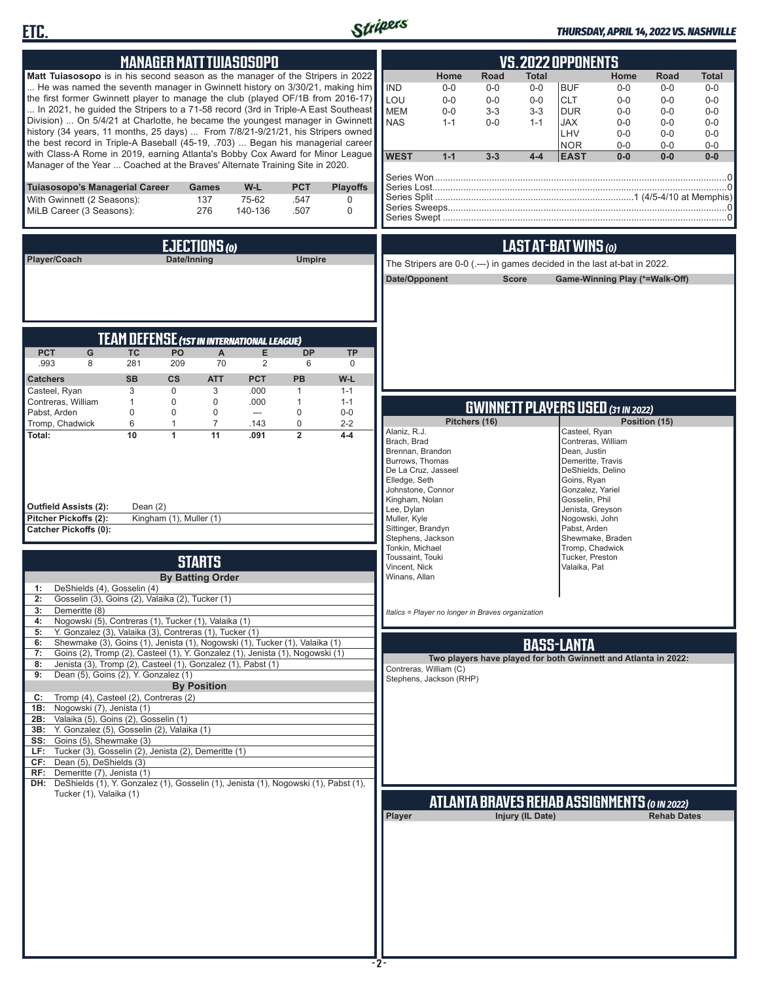



#### *THURSDAY, APRIL 14, 2022 VS. NASHVILLE*

| <b>MANAGER MATT TUIASOSOPO</b>                                                                                                                                                                                                                                                                                                                                                                                                                                                                                                                                                                                                                                                                                                                                                                                                                                                                                                                                                                                                                                                         | <b>VS. 2022 OPPONENTS</b>                                                                                                                                                                                                                                                                                                                                                                                                                                                                                                                                       |
|----------------------------------------------------------------------------------------------------------------------------------------------------------------------------------------------------------------------------------------------------------------------------------------------------------------------------------------------------------------------------------------------------------------------------------------------------------------------------------------------------------------------------------------------------------------------------------------------------------------------------------------------------------------------------------------------------------------------------------------------------------------------------------------------------------------------------------------------------------------------------------------------------------------------------------------------------------------------------------------------------------------------------------------------------------------------------------------|-----------------------------------------------------------------------------------------------------------------------------------------------------------------------------------------------------------------------------------------------------------------------------------------------------------------------------------------------------------------------------------------------------------------------------------------------------------------------------------------------------------------------------------------------------------------|
| Matt Tuiasosopo is in his second season as the manager of the Stripers in 2022<br>He was named the seventh manager in Gwinnett history on 3/30/21, making him<br>the first former Gwinnett player to manage the club (played OF/1B from 2016-17)<br>In 2021, he guided the Stripers to a 71-58 record (3rd in Triple-A East Southeast<br>Division)  On 5/4/21 at Charlotte, he became the youngest manager in Gwinnett<br>history (34 years, 11 months, 25 days)  From 7/8/21-9/21/21, his Stripers owned<br>the best record in Triple-A Baseball (45-19, .703)  Began his managerial career<br>with Class-A Rome in 2019, earning Atlanta's Bobby Cox Award for Minor League<br>Manager of the Year  Coached at the Braves' Alternate Training Site in 2020.                                                                                                                                                                                                                                                                                                                          | Home<br>Road<br>Total<br>Home<br>Road<br>Total<br><b>IND</b><br><b>BUF</b><br>$0-0$<br>$0-0$<br>$0-0$<br>$0-0$<br>$0-0$<br>$0-0$<br>LOU<br><b>CLT</b><br>$0-0$<br>$0-0$<br>$0 - 0$<br>$0 - 0$<br>$0-0$<br>$0 - 0$<br><b>MEM</b><br>$3 - 3$<br><b>DUR</b><br>$0-0$<br>$0-0$<br>$3 - 3$<br>$0-0$<br>$0-0$<br><b>NAS</b><br>$0-0$<br>JAX<br>$0 - 0$<br>$1 - 1$<br>$1 - 1$<br>$0-0$<br>$0-0$<br>LHV<br>$0 - 0$<br>$0-0$<br>$0-0$<br><b>NOR</b><br>$0-0$<br>$0-0$<br>$0-0$<br><b>WEST</b><br>$1 - 1$<br>$3 - 3$<br>$4 - 4$<br><b>EAST</b><br>$0-0$<br>$0-0$<br>$0-0$ |
| Tuiasosopo's Managerial Career<br>W-L<br><b>PCT</b><br><b>Playoffs</b><br>Games<br>75-62<br>With Gwinnett (2 Seasons):<br>137<br>.547<br>0<br>MiLB Career (3 Seasons):<br>276<br>140-136<br>.507<br>0                                                                                                                                                                                                                                                                                                                                                                                                                                                                                                                                                                                                                                                                                                                                                                                                                                                                                  |                                                                                                                                                                                                                                                                                                                                                                                                                                                                                                                                                                 |
| EJECTIONS (0)<br>Date/Inning<br><b>Umpire</b><br>Player/Coach                                                                                                                                                                                                                                                                                                                                                                                                                                                                                                                                                                                                                                                                                                                                                                                                                                                                                                                                                                                                                          | LAST AT-BAT WINS (0)<br>The Stripers are 0-0 (.---) in games decided in the last at-bat in 2022.<br>Date/Opponent<br><b>Score</b><br>Game-Winning Play (*=Walk-Off)                                                                                                                                                                                                                                                                                                                                                                                             |
| <b>TEAM DEFENSE (1ST IN INTERNATIONAL LEAGUE)</b><br><b>PCT</b><br><b>TC</b><br>PO<br>$\boldsymbol{\mathsf{A}}$<br>E<br>G<br><b>DP</b><br><b>TP</b><br>8<br>281<br>70<br>$\overline{2}$<br>.993<br>209<br>6<br>$\mathbf 0$<br><b>PB</b><br><b>SB</b><br>$\mathsf{cs}$<br><b>ATT</b><br><b>PCT</b><br>W-L<br><b>Catchers</b><br>3<br>Casteel, Ryan<br>$\mathbf 0$<br>3<br>.000<br>$\mathbf{1}$<br>$1 - 1$                                                                                                                                                                                                                                                                                                                                                                                                                                                                                                                                                                                                                                                                               |                                                                                                                                                                                                                                                                                                                                                                                                                                                                                                                                                                 |
| Contreras, William<br>$\mathbf{1}$<br>$\mathbf 0$<br>$\mathbf 0$<br>.000<br>$\mathbf{1}$<br>$1 - 1$<br>Pabst, Arden<br>$\mathbf 0$<br>0<br>$\mathbf 0$<br>$\mathbf 0$<br>$0-0$<br>---<br>Tromp, Chadwick<br>6<br>$\overline{7}$<br>0<br>1<br>.143<br>$2 - 2$<br>$\overline{2}$<br>10<br>11<br>.091<br>Total:<br>1<br>$4 - 4$<br><b>Outfield Assists (2):</b><br>Dean $(2)$<br>Kingham (1), Muller (1)<br>Pitcher Pickoffs (2):<br><b>Catcher Pickoffs (0):</b>                                                                                                                                                                                                                                                                                                                                                                                                                                                                                                                                                                                                                         | <b>GWINNETT PLAYERS USED (31 IN 2022)</b><br>Pitchers (16)<br>Position (15)<br>Alaniz, R.J.<br>Casteel, Ryan<br>Brach, Brad<br>Contreras, William<br>Brennan, Brandon<br>Dean, Justin<br>Burrows, Thomas<br>Demeritte, Travis<br>De La Cruz, Jasseel<br>DeShields, Delino<br>Elledge, Seth<br>Goins, Ryan<br>Johnstone, Connor<br>Gonzalez, Yariel<br>Kingham, Nolan<br>Gosselin, Phil<br>Lee, Dylan<br>Jenista, Greyson<br>Muller, Kyle<br>Nogowski, John<br>Sittinger, Brandyn<br>Pabst. Arden<br>Stephens, Jackson<br>Shewmake, Braden                       |
| <b>STARTS</b><br><b>By Batting Order</b><br>DeShields (4), Gosselin (4)<br>1:<br>2: Gosselin (3), Goins (2), Valaika (2), Tucker (1)<br>3:<br>Demeritte (8)<br>Nogowski (5), Contreras (1), Tucker (1), Valaika (1)<br>4:<br>Y. Gonzalez (3), Valaika (3), Contreras (1), Tucker (1)<br>5:<br>Shewmake (3), Goins (1), Jenista (1), Nogowski (1), Tucker (1), Valaika (1)<br>6:<br>Goins (2), Tromp (2), Casteel (1), Y. Gonzalez (1), Jenista (1), Nogowski (1)<br>7:<br>Jenista (3), Tromp (2), Casteel (1), Gonzalez (1), Pabst (1)<br>8:<br>Dean (5), Goins (2), Y. Gonzalez (1)<br>9:<br><b>By Position</b><br>Tromp (4), Casteel (2), Contreras (2)<br>C:<br>1B:<br>Nogowski (7), Jenista (1)<br>2B: Valaika (5), Goins (2), Gosselin (1)<br>Y. Gonzalez (5), Gosselin (2), Valaika (1)<br>3B:<br>SS: Goins (5), Shewmake (3)<br>LF: Tucker (3), Gosselin (2), Jenista (2), Demeritte (1)<br>CF: Dean (5), DeShields (3)<br>RF: Demeritte (7), Jenista (1)<br>DH: DeShields (1), Y. Gonzalez (1), Gosselin (1), Jenista (1), Nogowski (1), Pabst (1),<br>Tucker (1), Valaika (1) | Tonkin, Michael<br>Tromp, Chadwick<br>Toussaint, Touki<br>Tucker, Preston<br>Vincent, Nick<br>Valaika, Pat<br>Winans, Allan<br>Italics = Player no longer in Braves organization<br><b>BASS-LANTA</b><br>Two players have played for both Gwinnett and Atlanta in 2022:<br>Contreras, William (C)<br>Stephens, Jackson (RHP)<br>ATLANTA BRAVES REHAB ASSIGNMENTS (0 IN 2022)<br>Injury (IL Date)<br>Player<br><b>Rehab Dates</b>                                                                                                                                |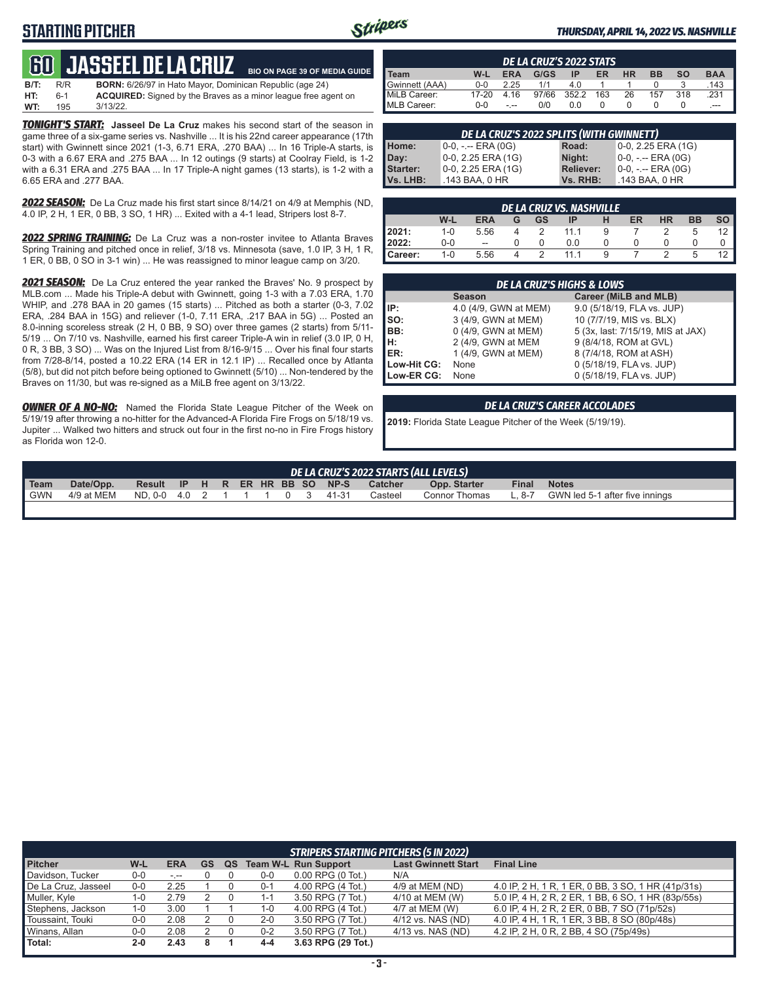### **STARTING PITCHER**



**BIO ON PAGE 39 OF MEDIA GUIDE**

#### *THURSDAY, APRIL 14, 2022 VS. NASHVILLE*

| <b>BO JASSEEL DE LA CRUZ</b> |  |                     |  |  |  |
|------------------------------|--|---------------------|--|--|--|
|                              |  | ____ ______________ |  |  |  |

| B/T: | R/R | <b>BORN:</b> 6/26/97 in Hato Mayor, Dominican Republic (age 24)       |
|------|-----|-----------------------------------------------------------------------|
| HT:  | 6-1 | <b>ACQUIRED:</b> Signed by the Braves as a minor league free agent on |
| WT:  | 195 | $3/13/22$ .                                                           |

**TONIGHT'S START:** Jasseel De La Cruz makes his second start of the season in game three of a six-game series vs. Nashville ... It is his 22nd career appearance (17th start) with Gwinnett since 2021 (1-3, 6.71 ERA, .270 BAA) ... In 16 Triple-A starts, is 0-3 with a 6.67 ERA and .275 BAA ... In 12 outings (9 starts) at Coolray Field, is 1-2 with a 6.31 ERA and .275 BAA ... In 17 Triple-A night games (13 starts), is 1-2 with a 6.65 ERA and .277 BAA.

*2022 SEASON:* De La Cruz made his first start since 8/14/21 on 4/9 at Memphis (ND, 4.0 IP, 2 H, 1 ER, 0 BB, 3 SO, 1 HR) ... Exited with a 4-1 lead, Stripers lost 8-7.

*2022 SPRING TRAINING:* De La Cruz was a non-roster invitee to Atlanta Braves Spring Training and pitched once in relief, 3/18 vs. Minnesota (save, 1.0 IP, 3 H, 1 R, 1 ER, 0 BB, 0 SO in 3-1 win) ... He was reassigned to minor league camp on 3/20.

*2021 SEASON:* De La Cruz entered the year ranked the Braves' No. 9 prospect by MLB.com ... Made his Triple-A debut with Gwinnett, going 1-3 with a 7.03 ERA, 1.70 WHIP, and .278 BAA in 20 games (15 starts) ... Pitched as both a starter (0-3, 7.02 ERA, .284 BAA in 15G) and reliever (1-0, 7.11 ERA, .217 BAA in 5G) ... Posted an 8.0-inning scoreless streak (2 H, 0 BB, 9 SO) over three games (2 starts) from 5/11- 5/19 ... On 7/10 vs. Nashville, earned his first career Triple-A win in relief (3.0 IP, 0 H, 0 R, 3 BB, 3 SO) ... Was on the Injured List from 8/16-9/15 ... Over his final four starts from 7/28-8/14, posted a 10.22 ERA (14 ER in 12.1 IP) ... Recalled once by Atlanta (5/8), but did not pitch before being optioned to Gwinnett (5/10) ... Non-tendered by the Braves on 11/30, but was re-signed as a MiLB free agent on 3/13/22.

**OWNER OF A NO-NO:** Named the Florida State League Pitcher of the Week on 5/19/19 after throwing a no-hitter for the Advanced-A Florida Fire Frogs on 5/18/19 vs. Jupiter ... Walked two hitters and struck out four in the first no-no in Fire Frogs history as Florida won 12-0.

| DE LA CRUZ'S 2022 STATS |            |            |       |       |     |           |           |           |            |  |
|-------------------------|------------|------------|-------|-------|-----|-----------|-----------|-----------|------------|--|
| . Team                  | W-L        | <b>ERA</b> | G/GS  | ΙP    | ER  | <b>HR</b> | <b>BB</b> | <b>SO</b> | <b>BAA</b> |  |
| Gwinnett (AAA)          | <u>ດ-ດ</u> | 2.25       |       | 4 በ   |     |           |           |           | .143       |  |
| MiLB Career:            | $17 - 20$  | 16         | 97/66 | 352.2 | 163 | 26        | 157       | 318       | .231       |  |
| MLB Career:             | $0 - 0$    | - --       | 0/0   | 0.0   |     |           |           |           | $---$      |  |

| DE LA CRUZ'S 2022 SPLITS (WITH GWINNETT) |                       |                  |                         |  |  |  |  |  |  |  |
|------------------------------------------|-----------------------|------------------|-------------------------|--|--|--|--|--|--|--|
| Home:                                    | $0-0, - -$ ERA $(0G)$ | Road:            | $0-0$ , 2.25 ERA $(1G)$ |  |  |  |  |  |  |  |
| Day:                                     | 0-0, 2.25 ERA (1G)    | Night:           | $0-0, - -$ ERA $(0G)$   |  |  |  |  |  |  |  |
| <b>Starter:</b>                          | $0-0$ , 2.25 ERA (1G) | <b>Reliever:</b> | $0-0, - -$ ERA (0G)     |  |  |  |  |  |  |  |
| Vs. LHB:                                 | .143 BAA, 0 HR        | Vs. RHB:         | .143 BAA, 0 HR          |  |  |  |  |  |  |  |

|         | DE LA CRUZ VS. NASHVILLE I |            |   |               |      |   |    |           |           |           |  |  |  |
|---------|----------------------------|------------|---|---------------|------|---|----|-----------|-----------|-----------|--|--|--|
|         | W-L                        | <b>ERA</b> | G | GS            | 4P   | н | ER | <b>HR</b> | <b>BB</b> | <b>SO</b> |  |  |  |
| 12021:  | $1 - 0$                    | 5.56       |   | $\mathcal{P}$ | 1111 | 9 |    |           |           | 12        |  |  |  |
| 12022:  | $0 - 0$                    | --         |   |               | 0.0  |   |    |           |           |           |  |  |  |
| Career: | $1 - 0$                    | 5.56       |   | $\mathcal{P}$ | 11 1 | 9 |    |           |           | 12        |  |  |  |

| <b>DE LA CRUZ'S HIGHS &amp; LOWS</b> |                       |                                   |  |  |  |  |  |  |  |
|--------------------------------------|-----------------------|-----------------------------------|--|--|--|--|--|--|--|
|                                      | <b>Season</b>         | Career (MiLB and MLB)             |  |  |  |  |  |  |  |
| IIP:                                 | 4.0 (4/9, GWN at MEM) | 9.0 (5/18/19, FLA vs. JUP)        |  |  |  |  |  |  |  |
| Iso:                                 | 3 (4/9, GWN at MEM)   | 10 (7/7/19, MIS vs. BLX)          |  |  |  |  |  |  |  |
| IBB:                                 | 0 (4/9, GWN at MEM)   | 5 (3x, last: 7/15/19, MIS at JAX) |  |  |  |  |  |  |  |
| Iн:                                  | 2 (4/9, GWN at MEM    | 9 (8/4/18, ROM at GVL)            |  |  |  |  |  |  |  |
| <b>IER:</b>                          | 1 (4/9, GWN at MEM)   | 8 (7/4/18, ROM at ASH)            |  |  |  |  |  |  |  |
| Low-Hit CG:                          | None                  | 0 (5/18/19, FLA vs. JUP)          |  |  |  |  |  |  |  |
| Low-ER CG:                           | None                  | 0 (5/18/19, FLA vs. JUP)          |  |  |  |  |  |  |  |

#### *DE LA CRUZ'S CAREER ACCOLADES*

**2019:** Florida State League Pitcher of the Week (5/19/19).

|                  | DE LA CRUZ'S 2022 STARTS (ALL LEVELS) |                                |  |  |  |  |  |  |             |       |                |                      |              |                                |
|------------------|---------------------------------------|--------------------------------|--|--|--|--|--|--|-------------|-------|----------------|----------------------|--------------|--------------------------------|
| Team             | Date/Opp.                             | Result IP H R ER HR BB SO NP-S |  |  |  |  |  |  |             |       | <b>Catcher</b> | Opp. Starter         | <b>Final</b> | <b>Notes</b>                   |
| <sup>1</sup> GWN | 4/9 at MEM                            | ND.0-0 4.0 2 1                 |  |  |  |  |  |  | $\cdot$ 0 3 | 41-31 | Casteel        | <b>Connor Thomas</b> | $-8-7$       | GWN led 5-1 after five innings |
|                  |                                       |                                |  |  |  |  |  |  |             |       |                |                      |              |                                |

| <b>STRIPERS STARTING PITCHERS (5 IN 2022)</b> |         |            |    |    |         |                             |                            |                                                    |  |  |  |
|-----------------------------------------------|---------|------------|----|----|---------|-----------------------------|----------------------------|----------------------------------------------------|--|--|--|
| <b>Pitcher</b>                                | W-L     | <b>ERA</b> | GS | QS |         | <b>Team W-L Run Support</b> | <b>Last Gwinnett Start</b> | <b>Final Line</b>                                  |  |  |  |
| Davidson, Tucker                              | $0-0$   | $-1 - 1$   |    |    | $0-0$   | $0.00$ RPG $(0$ Tot.)       | N/A                        |                                                    |  |  |  |
| De La Cruz, Jasseel                           | $0-0$   | 2.25       |    |    | $0 - 1$ | 4.00 RPG (4 Tot.)           | 4/9 at MEM (ND)            | 4.0 IP, 2 H, 1 R, 1 ER, 0 BB, 3 SO, 1 HR (41p/31s) |  |  |  |
| Muller, Kyle                                  | 1-0     | 2.79       |    |    | 1-1     | 3.50 RPG (7 Tot.)           | 4/10 at MEM (W)            | 5.0 IP, 4 H, 2 R, 2 ER, 1 BB, 6 SO, 1 HR (83p/55s) |  |  |  |
| Stephens, Jackson                             | 1-0     | 3.00       |    |    | 1-0     | 4.00 RPG (4 Tot.)           | 4/7 at MEM (W)             | 6.0 IP, 4 H, 2 R, 2 ER, 0 BB, 7 SO (71p/52s)       |  |  |  |
| Toussaint. Touki                              | $0-0$   | 2.08       |    |    | $2 - 0$ | 3.50 RPG (7 Tot.)           | 4/12 vs. NAS (ND)          | 4.0 IP, 4 H, 1 R, 1 ER, 3 BB, 8 SO (80p/48s)       |  |  |  |
| Winans, Allan                                 | $0-0$   | 2.08       |    |    | $0 - 2$ | 3.50 RPG (7 Tot.)           | 4/13 vs. NAS (ND)          | 4.2 IP, 2 H, 0 R, 2 BB, 4 SO (75p/49s)             |  |  |  |
| Total:                                        | $2 - 0$ | 2.43       |    |    | 4-4     | 3.63 RPG (29 Tot.)          |                            |                                                    |  |  |  |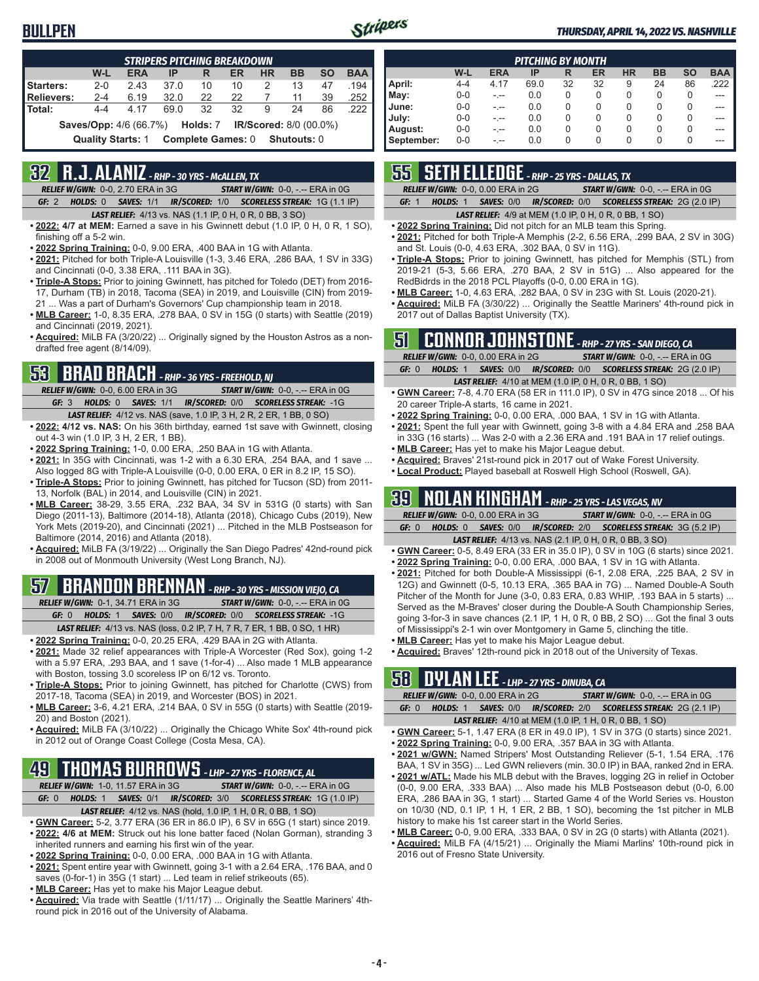#### **BULLPEN**



#### *THURSDAY, APRIL 14, 2022 VS. NASHVILLE*

| <b>STRIPERS PITCHING BREAKDOWN</b>                                   |         |            |      |    |    |           |           |           |            |  |
|----------------------------------------------------------------------|---------|------------|------|----|----|-----------|-----------|-----------|------------|--|
|                                                                      | W-L     | <b>ERA</b> | IP   | R  | ER | <b>HR</b> | <b>BB</b> | <b>SO</b> | <b>BAA</b> |  |
| Starters:                                                            | $2 - 0$ | 2.43       | 37.0 | 10 | 10 | 2         | 13        | 47        | .194       |  |
| Relievers:                                                           | $2 - 4$ | 6.19       | 32.0 | 22 | 22 |           | 11        | 39        | .252       |  |
| Total:                                                               | $4 - 4$ | 4 17       | 69 O | 32 | 32 | 9         | 24        | 86        | .222       |  |
| <b>Saves/Opp:</b> 4/6 (66.7%) <b>Holds: 7 IR/Scored: 8/0 (00.0%)</b> |         |            |      |    |    |           |           |           |            |  |
| Complete Games: 0 Shutouts: 0<br><b>Quality Starts: 1</b>            |         |            |      |    |    |           |           |           |            |  |

## **32 R.J. ALANIZ** *- RHP - 30 YRS - McALLEN, TX*

*RELIEF W/GWN:*0-0, 2.70 ERA in 3G *START W/GWN:*0-0, -.-- ERA in 0G *GF:*2 *HOLDS:*0 *SAVES:*1/1 *IR/SCORED:*1/0 *SCORELESS STREAK:*1G (1.1 IP)

*LAST RELIEF:*4/13 vs. NAS (1.1 IP, 0 H, 0 R, 0 BB, 3 SO)

- **• 2022: 4/7 at MEM:** Earned a save in his Gwinnett debut (1.0 IP, 0 H, 0 R, 1 SO), finishing off a 5-2 win.
- **• 2022 Spring Training:** 0-0, 9.00 ERA, .400 BAA in 1G with Atlanta.
- **• 2021:** Pitched for both Triple-A Louisville (1-3, 3.46 ERA, .286 BAA, 1 SV in 33G) and Cincinnati (0-0, 3.38 ERA, .111 BAA in 3G).
- **• Triple-A Stops:** Prior to joining Gwinnett, has pitched for Toledo (DET) from 2016- 17, Durham (TB) in 2018, Tacoma (SEA) in 2019, and Louisville (CIN) from 2019- 21 ... Was a part of Durham's Governors' Cup championship team in 2018.
- **• MLB Career:** 1-0, 8.35 ERA, .278 BAA, 0 SV in 15G (0 starts) with Seattle (2019) and Cincinnati (2019, 2021).
- **• Acquired:** MiLB FA (3/20/22) ... Originally signed by the Houston Astros as a nondrafted free agent (8/14/09).

## **53 BRAD BRACH** *- RHP - 36 YRS - FREEHOLD, NJ*

*RELIEF W/GWN:*0-0, 6.00 ERA in 3G *START W/GWN:*0-0, -.-- ERA in 0G *GF:*3 *HOLDS:*0 *SAVES:*1/1 *IR/SCORED:*0/0 *SCORELESS STREAK:*-1G

- *LAST RELIEF:*4/12 vs. NAS (save, 1.0 IP, 3 H, 2 R, 2 ER, 1 BB, 0 SO)
- **• 2022: 4/12 vs. NAS:** On his 36th birthday, earned 1st save with Gwinnett, closing out 4-3 win (1.0 IP, 3 H, 2 ER, 1 BB).
- **• 2022 Spring Training:** 1-0, 0.00 ERA, .250 BAA in 1G with Atlanta.
- **• 2021:** In 35G with Cincinnati, was 1-2 with a 6.30 ERA, .254 BAA, and 1 save ... Also logged 8G with Triple-A Louisville (0-0, 0.00 ERA, 0 ER in 8.2 IP, 15 SO).
- **• Triple-A Stops:** Prior to joining Gwinnett, has pitched for Tucson (SD) from 2011- 13, Norfolk (BAL) in 2014, and Louisville (CIN) in 2021.
- **• MLB Career:** 38-29, 3.55 ERA, .232 BAA, 34 SV in 531G (0 starts) with San Diego (2011-13), Baltimore (2014-18), Atlanta (2018), Chicago Cubs (2019), New York Mets (2019-20), and Cincinnati (2021) ... Pitched in the MLB Postseason for Baltimore (2014, 2016) and Atlanta (2018).
- **• Acquired:** MiLB FA (3/19/22) ... Originally the San Diego Padres' 42nd-round pick in 2008 out of Monmouth University (West Long Branch, NJ).

## **57 BRANDON BRENNAN** *- RHP - 30 YRS - MISSION VIEJO, CA*

- *RELIEF W/GWN:*0-1, 34.71 ERA in 3G *START W/GWN:*0-0, -.-- ERA in 0G *GF:*0 *HOLDS:*1 *SAVES:*0/0 *IR/SCORED:*0/0 *SCORELESS STREAK:*-1G
- *LAST RELIEF:*4/13 vs. NAS (loss, 0.2 IP, 7 H, 7 R, 7 ER, 1 BB, 0 SO, 1 HR)
- **• 2022 Spring Training:** 0-0, 20.25 ERA, .429 BAA in 2G with Atlanta. **• 2021:** Made 32 relief appearances with Triple-A Worcester (Red Sox), going 1-2 with a 5.97 ERA, .293 BAA, and 1 save (1-for-4) ... Also made 1 MLB appearance with Boston, tossing 3.0 scoreless IP on 6/12 vs. Toronto.
- **• Triple-A Stops:** Prior to joining Gwinnett, has pitched for Charlotte (CWS) from 2017-18, Tacoma (SEA) in 2019, and Worcester (BOS) in 2021.
- **• MLB Career:** 3-6, 4.21 ERA, .214 BAA, 0 SV in 55G (0 starts) with Seattle (2019- 20) and Boston (2021).
- **• Acquired:** MiLB FA (3/10/22) ... Originally the Chicago White Sox' 4th-round pick in 2012 out of Orange Coast College (Costa Mesa, CA).

### **49 THOMAS BURROWS** *- LHP - 27 YRS - FLORENCE, AL*

*RELIEF W/GWN:*1-0, 11.57 ERA in 3G *START W/GWN:*0-0, -.-- ERA in 0G *GF:*0 *HOLDS:*1 *SAVES:*0/1 *IR/SCORED:*3/0 *SCORELESS STREAK:*1G (1.0 IP)

- *LAST RELIEF:*4/12 vs. NAS (hold, 1.0 IP, 1 H, 0 R, 0 BB, 1 SO)
- **• GWN Career:** 5-2, 3.77 ERA (36 ER in 86.0 IP), 6 SV in 65G (1 start) since 2019.
- **• 2022: 4/6 at MEM:** Struck out his lone batter faced (Nolan Gorman), stranding 3 inherited runners and earning his first win of the year.
- **• 2022 Spring Training:** 0-0, 0.00 ERA, .000 BAA in 1G with Atlanta.
- **• 2021:** Spent entire year with Gwinnett, going 3-1 with a 2.64 ERA, .176 BAA, and 0 saves (0-for-1) in 35G (1 start) ... Led team in relief strikeouts (65).
- **• MLB Career:** Has yet to make his Major League debut.
- **• Acquired:** Via trade with Seattle (1/11/17) ... Originally the Seattle Mariners' 4thround pick in 2016 out of the University of Alabama.

| <b>PITCHING BY MONTH</b> |         |            |      |          |    |           |           |           |            |  |  |
|--------------------------|---------|------------|------|----------|----|-----------|-----------|-----------|------------|--|--|
|                          | W-L     | <b>ERA</b> | IP   | R        | ER | <b>HR</b> | <b>BB</b> | <b>SO</b> | <b>BAA</b> |  |  |
| April:                   | $4 - 4$ | 4.17       | 69.0 | 32       | 32 | 9         | 24        | 86        | .222       |  |  |
| May:                     | $0 - 0$ | -.--       | 0.0  | $\Omega$ | 0  | 0         | 0         | 0         | ---        |  |  |
| June:                    | $0 - 0$ | -.--       | 0.0  | 0        | 0  | 0         | 0         | 0         |            |  |  |
| July:                    | $0 - 0$ | -.--       | 0.0  | $\Omega$ | 0  | 0         | 0         | 0         |            |  |  |
| August:                  | $0 - 0$ | -.--       | 0.0  | 0        | 0  | 0         | 0         | $\Omega$  |            |  |  |
| September:               | $0 - 0$ |            | 0.0  | 0        | 0  | 0         | 0         | 0         |            |  |  |

### **55 SETH ELLEDGE** *- RHP - 25 YRS - DALLAS, TX*

*RELIEF W/GWN:*0-0, 0.00 ERA in 2G *START W/GWN:*0-0, -.-- ERA in 0G

*GF:*1 *HOLDS:*1 *SAVES:*0/0 *IR/SCORED:*0/0 *SCORELESS STREAK:*2G (2.0 IP)

#### *LAST RELIEF:*4/9 at MEM (1.0 IP, 0 H, 0 R, 0 BB, 1 SO)

- **• 2022 Spring Training:** Did not pitch for an MLB team this Spring.
- **• 2021:** Pitched for both Triple-A Memphis (2-2, 6.56 ERA, .299 BAA, 2 SV in 30G) and St. Louis (0-0, 4.63 ERA, .302 BAA, 0 SV in 11G).
- **• Triple-A Stops:** Prior to joining Gwinnett, has pitched for Memphis (STL) from 2019-21 (5-3, 5.66 ERA, .270 BAA, 2 SV in 51G) ... Also appeared for the RedBidrds in the 2018 PCL Playoffs (0-0, 0.00 ERA in 1G).
- **• MLB Career:** 1-0, 4.63 ERA, .282 BAA, 0 SV in 23G with St. Louis (2020-21).
- **• Acquired:** MiLB FA (3/30/22) ... Originally the Seattle Mariners' 4th-round pick in 2017 out of Dallas Baptist University (TX).

### **51 CONNOR JOHNSTONE** *- RHP - 27 YRS - SAN DIEGO, CA*

|       | <b>RELIEF W/GWN: 0-0, 0.00 ERA in 2G</b>                       | <b>START W/GWN: <math>0-0</math>, -.-- ERA in <math>0G</math></b> |
|-------|----------------------------------------------------------------|-------------------------------------------------------------------|
| GF: 0 |                                                                | HOLDS: 1 SAVES: 0/0 IR/SCORED: 0/0 SCORELESS STREAK: 2G (2.0 IP)  |
|       | <b>LAST RELIEF:</b> 4/10 at MEM (1.0 IP, 0 H, 0 R, 0 BB, 1 SO) |                                                                   |

- **• GWN Career:** 7-8, 4.70 ERA (58 ER in 111.0 IP), 0 SV in 47G since 2018 ... Of his 20 career Triple-A starts, 16 came in 2021.
- **• 2022 Spring Training:** 0-0, 0.00 ERA, .000 BAA, 1 SV in 1G with Atlanta.
- **• 2021:** Spent the full year with Gwinnett, going 3-8 with a 4.84 ERA and .258 BAA in 33G (16 starts) ... Was 2-0 with a 2.36 ERA and .191 BAA in 17 relief outings.
- **• MLB Career:** Has yet to make his Major League debut.
- **• Acquired:** Braves' 21st-round pick in 2017 out of Wake Forest University.
- **• Local Product:** Played baseball at Roswell High School (Roswell, GA).

### **39 NOLAN KINGHAM** *- RHP - 25 YRS - LAS VEGAS, NV*

| <b>RELIEF W/GWN: 0-0, 0.00 ERA in 3G</b> |                                                                 | <b>START W/GWN: 0-0, -.-- ERA in 0G</b>                                 |
|------------------------------------------|-----------------------------------------------------------------|-------------------------------------------------------------------------|
| GF: 0                                    |                                                                 | <b>HOLDS: 0 SAVES: 0/0 IR/SCORED: 2/0 SCORELESS STREAK: 3G (5.2 IP)</b> |
|                                          | <b>LAST RELIEF:</b> 4/13 vs. NAS (2.1 IP, 0 H, 0 R, 0 BB, 3 SO) |                                                                         |

- **• GWN Career:** 0-5, 8.49 ERA (33 ER in 35.0 IP), 0 SV in 10G (6 starts) since 2021.
- **• 2022 Spring Training:** 0-0, 0.00 ERA, .000 BAA, 1 SV in 1G with Atlanta.
- **• 2021:** Pitched for both Double-A Mississippi (6-1, 2.08 ERA, .225 BAA, 2 SV in 12G) and Gwinnett (0-5, 10.13 ERA, .365 BAA in 7G) ... Named Double-A South Pitcher of the Month for June (3-0, 0.83 ERA, 0.83 WHIP, .193 BAA in 5 starts) ... Served as the M-Braves' closer during the Double-A South Championship Series, going 3-for-3 in save chances (2.1 IP, 1 H, 0 R, 0 BB, 2 SO) ... Got the final 3 outs of Mississippi's 2-1 win over Montgomery in Game 5, clinching the title.
- **• MLB Career:** Has yet to make his Major League debut.
- **• Acquired:** Braves' 12th-round pick in 2018 out of the University of Texas.

#### **58 DYLAN LEE** *- LHP - 27 YRS - DINUBA, CA*

| .     |                                   |                                                                  |
|-------|-----------------------------------|------------------------------------------------------------------|
|       | RELIEF W/GWN: 0-0, 0.00 ERA in 2G | <b>START W/GWN: 0-0, -.-- ERA in 0G</b>                          |
| GF: 0 |                                   | HOLDS: 1 SAVES: 0/0 IR/SCORED: 2/0 SCORELESS STREAK: 2G (2.1 IP) |
|       |                                   |                                                                  |

- *LAST RELIEF:*4/10 at MEM (1.0 IP, 1 H, 0 R, 0 BB, 1 SO)
- **• GWN Career:** 5-1, 1.47 ERA (8 ER in 49.0 IP), 1 SV in 37G (0 starts) since 2021. **• 2022 Spring Training:** 0-0, 9.00 ERA, .357 BAA in 3G with Atlanta.
- **• 2021 w/GWN:** Named Stripers' Most Outstanding Reliever (5-1, 1.54 ERA, .176 BAA, 1 SV in 35G) ... Led GWN relievers (min. 30.0 IP) in BAA, ranked 2nd in ERA.
- **• 2021 w/ATL:** Made his MLB debut with the Braves, logging 2G in relief in October (0-0, 9.00 ERA, .333 BAA) ... Also made his MLB Postseason debut (0-0, 6.00 ERA, .286 BAA in 3G, 1 start) ... Started Game 4 of the World Series vs. Houston on 10/30 (ND, 0.1 IP, 1 H, 1 ER, 2 BB, 1 SO), becoming the 1st pitcher in MLB history to make his 1st career start in the World Series.
- **• MLB Career:** 0-0, 9.00 ERA, .333 BAA, 0 SV in 2G (0 starts) with Atlanta (2021).
- **• Acquired:** MiLB FA (4/15/21) ... Originally the Miami Marlins' 10th-round pick in 2016 out of Fresno State University.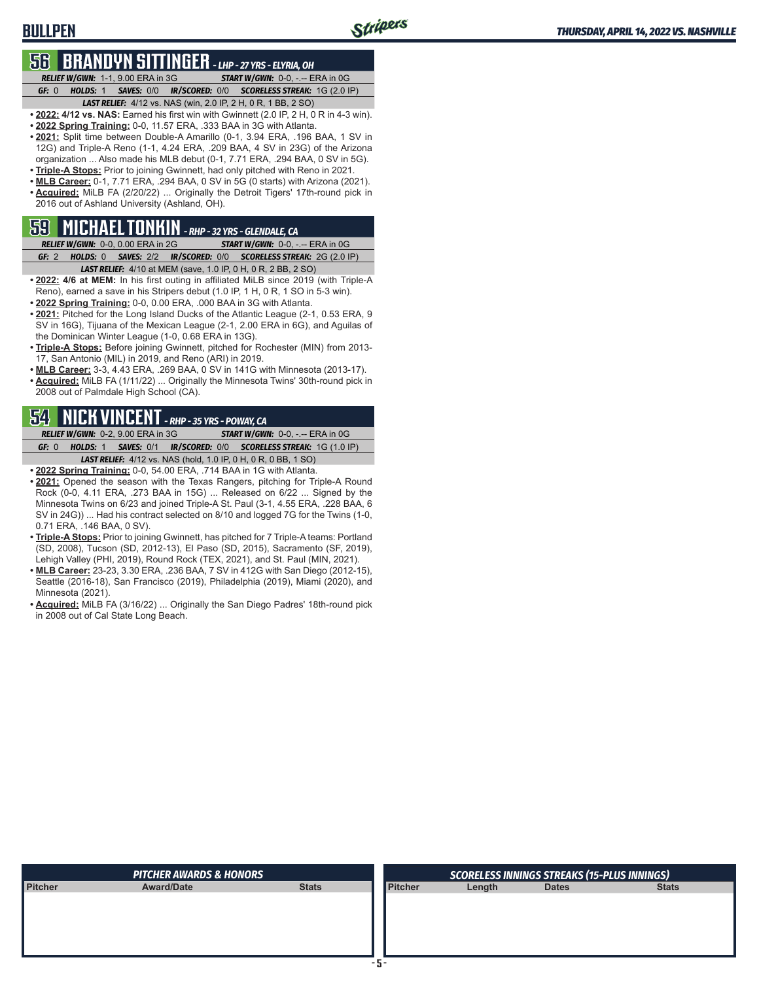# **56 BRANDYN SITTINGER** *- LHP - 27 YRS - ELYRIA, OH*

**BULLPEN**

*RELIEF W/GWN:*1-1, 9.00 ERA in 3G *START W/GWN:*0-0, -.-- ERA in 0G *GF:*0 *HOLDS:*1 *SAVES:*0/0 *IR/SCORED:*0/0 *SCORELESS STREAK:*1G (2.0 IP)

- *LAST RELIEF:*4/12 vs. NAS (win, 2.0 IP, 2 H, 0 R, 1 BB, 2 SO) **• 2022: 4/12 vs. NAS:** Earned his first win with Gwinnett (2.0 IP, 2 H, 0 R in 4-3 win).
- **• 2022 Spring Training:** 0-0, 11.57 ERA, .333 BAA in 3G with Atlanta.
- **• 2021:** Split time between Double-A Amarillo (0-1, 3.94 ERA, .196 BAA, 1 SV in 12G) and Triple-A Reno (1-1, 4.24 ERA, .209 BAA, 4 SV in 23G) of the Arizona organization ... Also made his MLB debut (0-1, 7.71 ERA, .294 BAA, 0 SV in 5G).
- **• Triple-A Stops:** Prior to joining Gwinnett, had only pitched with Reno in 2021.
- **• MLB Career:** 0-1, 7.71 ERA, .294 BAA, 0 SV in 5G (0 starts) with Arizona (2021). **• Acquired:** MiLB FA (2/20/22) ... Originally the Detroit Tigers' 17th-round pick in 2016 out of Ashland University (Ashland, OH).

### **59 MICHAEL TONKIN** *- RHP - 32 YRS - GLENDALE, CA*

*RELIEF W/GWN:*0-0, 0.00 ERA in 2G *START W/GWN:*0-0, -.-- ERA in 0G *GF:*2 *HOLDS:*0 *SAVES:*2/2 *IR/SCORED:*0/0 *SCORELESS STREAK:*2G (2.0 IP)

- *LAST RELIEF:*4/10 at MEM (save, 1.0 IP, 0 H, 0 R, 2 BB, 2 SO) **• 2022: 4/6 at MEM:** In his first outing in affiliated MiLB since 2019 (with Triple-A Reno), earned a save in his Stripers debut (1.0 IP, 1 H, 0 R, 1 SO in 5-3 win).
- **• 2022 Spring Training:** 0-0, 0.00 ERA, .000 BAA in 3G with Atlanta. **• 2021:** Pitched for the Long Island Ducks of the Atlantic League (2-1, 0.53 ERA, 9 SV in 16G), Tijuana of the Mexican League (2-1, 2.00 ERA in 6G), and Aguilas of
- the Dominican Winter League (1-0, 0.68 ERA in 13G). **• Triple-A Stops:** Before joining Gwinnett, pitched for Rochester (MIN) from 2013- 17, San Antonio (MIL) in 2019, and Reno (ARI) in 2019.
- **• MLB Career:** 3-3, 4.43 ERA, .269 BAA, 0 SV in 141G with Minnesota (2013-17).
- **• Acquired:** MiLB FA (1/11/22) ... Originally the Minnesota Twins' 30th-round pick in 2008 out of Palmdale High School (CA).

### **54 NICK VINCENT** *- RHP - 35 YRS - POWAY, CA*

*RELIEF W/GWN:*0-2, 9.00 ERA in 3G *START W/GWN:*0-0, -.-- ERA in 0G *GF:*0 *HOLDS:*1 *SAVES:*0/1 *IR/SCORED:*0/0 *SCORELESS STREAK:*1G (1.0 IP) *LAST RELIEF:*4/12 vs. NAS (hold, 1.0 IP, 0 H, 0 R, 0 BB, 1 SO)

- **• 2022 Spring Training:** 0-0, 54.00 ERA, .714 BAA in 1G with Atlanta.
- **• 2021:** Opened the season with the Texas Rangers, pitching for Triple-A Round Rock (0-0, 4.11 ERA, .273 BAA in 15G) ... Released on 6/22 ... Signed by the Minnesota Twins on 6/23 and joined Triple-A St. Paul (3-1, 4.55 ERA, .228 BAA, 6 SV in 24G)) ... Had his contract selected on 8/10 and logged 7G for the Twins (1-0, 0.71 ERA, .146 BAA, 0 SV).
- **• Triple-A Stops:** Prior to joining Gwinnett, has pitched for 7 Triple-A teams: Portland (SD, 2008), Tucson (SD, 2012-13), El Paso (SD, 2015), Sacramento (SF, 2019), Lehigh Valley (PHI, 2019), Round Rock (TEX, 2021), and St. Paul (MIN, 2021).
- **• MLB Career:** 23-23, 3.30 ERA, .236 BAA, 7 SV in 412G with San Diego (2012-15), Seattle (2016-18), San Francisco (2019), Philadelphia (2019), Miami (2020), and Minnesota (2021).
- **• Acquired:** MiLB FA (3/16/22) ... Originally the San Diego Padres' 18th-round pick in 2008 out of Cal State Long Beach.

|         | <b>PITCHER AWARDS &amp; HONORS</b> |              |                | <b>SCORELESS INNINGS STREAKS (15-PLUS INNINGS)</b> |              |              |  |  |  |
|---------|------------------------------------|--------------|----------------|----------------------------------------------------|--------------|--------------|--|--|--|
| Pitcher | <b>Award/Date</b>                  | <b>Stats</b> | <b>Pitcher</b> | Length                                             | <b>Dates</b> | <b>Stats</b> |  |  |  |
|         |                                    |              |                |                                                    |              |              |  |  |  |
|         |                                    |              |                |                                                    |              |              |  |  |  |
|         |                                    |              |                |                                                    |              |              |  |  |  |
|         |                                    |              |                |                                                    |              |              |  |  |  |
|         |                                    |              |                |                                                    |              |              |  |  |  |
|         |                                    |              |                |                                                    |              |              |  |  |  |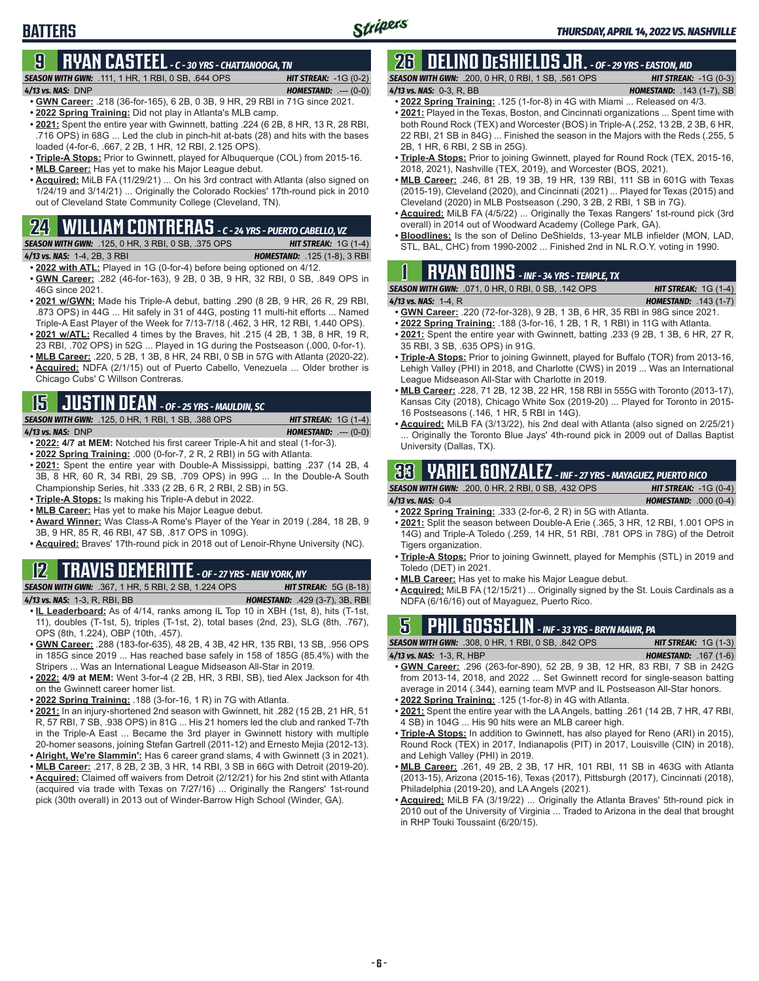## **9 RYAN CASTEEL** *- C - 30 YRS - CHATTANOOGA, TN*

*SEASON WITH GWN:*.111, 1 HR, 1 RBI, 0 SB, .644 OPS *HIT STREAK:* -1G (0-2)

**BATTERS**

*4/13 vs. NAS:*DNP *HOMESTAND:* .--- (0-0)

- **• GWN Career:** .218 (36-for-165), 6 2B, 0 3B, 9 HR, 29 RBI in 71G since 2021. **• 2022 Spring Training:** Did not play in Atlanta's MLB camp.
- **• 2021:** Spent the entire year with Gwinnett, batting .224 (6 2B, 8 HR, 13 R, 28 RBI, .716 OPS) in 68G ... Led the club in pinch-hit at-bats (28) and hits with the bases loaded (4-for-6, .667, 2 2B, 1 HR, 12 RBI, 2.125 OPS).
- **• Triple-A Stops:** Prior to Gwinnett, played for Albuquerque (COL) from 2015-16.
- **• MLB Career:** Has yet to make his Major League debut.
- **• Acquired:** MiLB FA (11/29/21) ... On his 3rd contract with Atlanta (also signed on 1/24/19 and 3/14/21) ... Originally the Colorado Rockies' 17th-round pick in 2010 out of Cleveland State Community College (Cleveland, TN).

#### **24 WILLIAM CONTRERAS** *- C - 24 YRS - PUERTO CABELLO, VZ*

*SEASON WITH GWN:*.125, 0 HR, 3 RBI, 0 SB, .375 OPS *HIT STREAK:* 1G (1-4) *4/13 vs. NAS:*1-4, 2B, 3 RBI *HOMESTAND:* .125 (1-8), 3 RBI

- **• 2022 with ATL:** Played in 1G (0-for-4) before being optioned on 4/12. **• GWN Career:** .282 (46-for-163), 9 2B, 0 3B, 9 HR, 32 RBI, 0 SB, .849 OPS in 46G since 2021.
- **• 2021 w/GWN:** Made his Triple-A debut, batting .290 (8 2B, 9 HR, 26 R, 29 RBI, .873 OPS) in 44G ... Hit safely in 31 of 44G, posting 11 multi-hit efforts ... Named Triple-A East Player of the Week for 7/13-7/18 (.462, 3 HR, 12 RBI, 1.440 OPS).
- **• 2021 w/ATL:** Recalled 4 times by the Braves, hit .215 (4 2B, 1 3B, 8 HR, 19 R, 23 RBI, .702 OPS) in 52G ... Played in 1G during the Postseason (.000, 0-for-1).
- **• MLB Career:** .220, 5 2B, 1 3B, 8 HR, 24 RBI, 0 SB in 57G with Atlanta (2020-22).
- **• Acquired:** NDFA (2/1/15) out of Puerto Cabello, Venezuela ... Older brother is Chicago Cubs' C Willson Contreras.

## **15 JUSTIN DEAN** *- OF - 25 YRS - MAULDIN, SC*

*SEASON WITH GWN:*.125, 0 HR, 1 RBI, 1 SB, .388 OPS *HIT STREAK:* 1G (1-4)

*4/13 vs. NAS:*DNP *HOMESTAND:* .--- (0-0)

- **• 2022: 4/7 at MEM:** Notched his first career Triple-A hit and steal (1-for-3).
- **• 2022 Spring Training:** .000 (0-for-7, 2 R, 2 RBI) in 5G with Atlanta.
- **• 2021:** Spent the entire year with Double-A Mississippi, batting .237 (14 2B, 4 3B, 8 HR, 60 R, 34 RBI, 29 SB, .709 OPS) in 99G ... In the Double-A South Championship Series, hit .333 (2 2B, 6 R, 2 RBI, 2 SB) in 5G.
- **• Triple-A Stops:** Is making his Triple-A debut in 2022.
- **• MLB Career:** Has yet to make his Major League debut.
- **• Award Winner:** Was Class-A Rome's Player of the Year in 2019 (.284, 18 2B, 9 3B, 9 HR, 85 R, 46 RBI, 47 SB, .817 OPS in 109G).
- **• Acquired:** Braves' 17th-round pick in 2018 out of Lenoir-Rhyne University (NC).

#### **12 TRAVIS DEMERITTE** *- OF - 27 YRS - NEW YORK, NY*

#### *SEASON WITH GWN:*.367, 1 HR, 5 RBI, 2 SB, 1.224 OPS *HIT STREAK:* 5G (8-18)

- *4/13 vs. NAS:*1-3, R, RBI, BB *HOMESTAND:* .429 (3-7), 3B, RBI **• IL Leaderboard:** As of 4/14, ranks among IL Top 10 in XBH (1st, 8), hits (T-1st, 11), doubles (T-1st, 5), triples (T-1st, 2), total bases (2nd, 23), SLG (8th, .767), OPS (8th, 1.224), OBP (10th, .457).
- **• GWN Career:** .288 (183-for-635), 48 2B, 4 3B, 42 HR, 135 RBI, 13 SB, .956 OPS in 185G since 2019 ... Has reached base safely in 158 of 185G (85.4%) with the Stripers ... Was an International League Midseason All-Star in 2019.
- **• 2022: 4/9 at MEM:** Went 3-for-4 (2 2B, HR, 3 RBI, SB), tied Alex Jackson for 4th on the Gwinnett career homer list.
- **• 2022 Spring Training:** .188 (3-for-16, 1 R) in 7G with Atlanta.
- **• 2021:** In an injury-shortened 2nd season with Gwinnett, hit .282 (15 2B, 21 HR, 51 R, 57 RBI, 7 SB, .938 OPS) in 81G ... His 21 homers led the club and ranked T-7th in the Triple-A East ... Became the 3rd player in Gwinnett history with multiple 20-homer seasons, joining Stefan Gartrell (2011-12) and Ernesto Mejia (2012-13).
- **• Alright, We're Slammin':** Has 6 career grand slams, 4 with Gwinnett (3 in 2021).
- **• MLB Career:** .217, 8 2B, 2 3B, 3 HR, 14 RBI, 3 SB in 66G with Detroit (2019-20). **• Acquired:** Claimed off waivers from Detroit (2/12/21) for his 2nd stint with Atlanta (acquired via trade with Texas on 7/27/16) ... Originally the Rangers' 1st-round pick (30th overall) in 2013 out of Winder-Barrow High School (Winder, GA).

## **26 DELINO DESHIELDS JR.** *- OF - 29 YRS - EASTON, MD*

*SEASON WITH GWN:*.200, 0 HR, 0 RBI, 1 SB, .561 OPS *HIT STREAK:* -1G (0-3) *4/13 vs. NAS:*0-3, R, BB *HOMESTAND:* .143 (1-7), SB

- **• 2022 Spring Training:** .125 (1-for-8) in 4G with Miami ... Released on 4/3. **• 2021:** Played in the Texas, Boston, and Cincinnati organizations ... Spent time with both Round Rock (TEX) and Worcester (BOS) in Triple-A (.252, 13 2B, 2 3B, 6 HR, 22 RBI, 21 SB in 84G) ... Finished the season in the Majors with the Reds (.255, 5 2B, 1 HR, 6 RBI, 2 SB in 25G).
- **• Triple-A Stops:** Prior to joining Gwinnett, played for Round Rock (TEX, 2015-16, 2018, 2021), Nashville (TEX, 2019), and Worcester (BOS, 2021).
- **• MLB Career:** .246, 81 2B, 19 3B, 19 HR, 139 RBI, 111 SB in 601G with Texas (2015-19), Cleveland (2020), and Cincinnati (2021) ... Played for Texas (2015) and Cleveland (2020) in MLB Postseason (.290, 3 2B, 2 RBI, 1 SB in 7G).
- **• Acquired:** MiLB FA (4/5/22) ... Originally the Texas Rangers' 1st-round pick (3rd overall) in 2014 out of Woodward Academy (College Park, GA).
- **• Bloodlines:** Is the son of Delino DeShields, 13-year MLB infielder (MON, LAD, STL, BAL, CHC) from 1990-2002 ... Finished 2nd in NL R.O.Y. voting in 1990.

## **1 RYAN GOINS** *- INF - 34 YRS - TEMPLE, TX*

- *4/13 vs. NAS:*1-4, R *HOMESTAND:* .143 (1-7) **• GWN Career:** .220 (72-for-328), 9 2B, 1 3B, 6 HR, 35 RBI in 98G since 2021.
- **• 2022 Spring Training:** .188 (3-for-16, 1 2B, 1 R, 1 RBI) in 11G with Atlanta. **• 2021:** Spent the entire year with Gwinnett, batting .233 (9 2B, 1 3B, 6 HR, 27 R,
- 35 RBI, 3 SB, .635 OPS) in 91G.
- **• Triple-A Stops:** Prior to joining Gwinnett, played for Buffalo (TOR) from 2013-16, Lehigh Valley (PHI) in 2018, and Charlotte (CWS) in 2019 ... Was an International League Midseason All-Star with Charlotte in 2019.
- **• MLB Career:** .228, 71 2B, 12 3B, 22 HR, 158 RBI in 555G with Toronto (2013-17), Kansas City (2018), Chicago White Sox (2019-20) ... Played for Toronto in 2015- 16 Postseasons (.146, 1 HR, 5 RBI in 14G).
- **• Acquired:** MiLB FA (3/13/22), his 2nd deal with Atlanta (also signed on 2/25/21) Originally the Toronto Blue Jays' 4th-round pick in 2009 out of Dallas Baptist University (Dallas, TX).

## **33 YARIEL GONZALEZ** *- INF - 27 YRS - MAYAGUEZ, PUERTO RICO*

*SEASON WITH GWN:*.200, 0 HR, 2 RBI, 0 SB, .432 OPS *HIT STREAK:* -1G (0-4) *4/13 vs. NAS:*0-4 *HOMESTAND:* .000 (0-4)

- **• 2022 Spring Training:** .333 (2-for-6, 2 R) in 5G with Atlanta.
- **• 2021:** Split the season between Double-A Erie (.365, 3 HR, 12 RBI, 1.001 OPS in 14G) and Triple-A Toledo (.259, 14 HR, 51 RBI, .781 OPS in 78G) of the Detroit Tigers organization.
- **• Triple-A Stops:** Prior to joining Gwinnett, played for Memphis (STL) in 2019 and Toledo (DET) in 2021.
- **• MLB Career:** Has yet to make his Major League debut.
- **• Acquired:** MiLB FA (12/15/21) ... Originally signed by the St. Louis Cardinals as a NDFA (6/16/16) out of Mayaguez, Puerto Rico.

## **5 PHIL GOSSELIN** *- INF - 33 YRS - BRYN MAWR, PA*

**SEASON WITH GWN:**  $.308$ , 0 HR, 1 RBI, 0 SB, .842 OPS **HIT STREAK:** 1G (1-3) *4/13 vs. NAS:*1-3, R, HBP *HOMESTAND:* .167 (1-6)

- **• GWN Career:** .296 (263-for-890), 52 2B, 9 3B, 12 HR, 83 RBI, 7 SB in 242G from 2013-14, 2018, and 2022 ... Set Gwinnett record for single-season batting average in 2014 (.344), earning team MVP and IL Postseason All-Star honors.
- **• 2022 Spring Training:** .125 (1-for-8) in 4G with Atlanta.
- **• 2021:** Spent the entire year with the LA Angels, batting .261 (14 2B, 7 HR, 47 RBI, 4 SB) in 104G ... His 90 hits were an MLB career high.
- **• Triple-A Stops:** In addition to Gwinnett, has also played for Reno (ARI) in 2015), Round Rock (TEX) in 2017, Indianapolis (PIT) in 2017, Louisville (CIN) in 2018), and Lehigh Valley (PHI) in 2019.
- **• MLB Career:** .261, 49 2B, 2 3B, 17 HR, 101 RBI, 11 SB in 463G with Atlanta (2013-15), Arizona (2015-16), Texas (2017), Pittsburgh (2017), Cincinnati (2018), Philadelphia (2019-20), and LA Angels (2021).
- **• Acquired:** MiLB FA (3/19/22) ... Originally the Atlanta Braves' 5th-round pick in 2010 out of the University of Virginia ... Traded to Arizona in the deal that brought in RHP Touki Toussaint (6/20/15).

*SEASON WITH GWN:*.071, 0 HR, 0 RBI, 0 SB, .142 OPS *HIT STREAK:* 1G (1-4)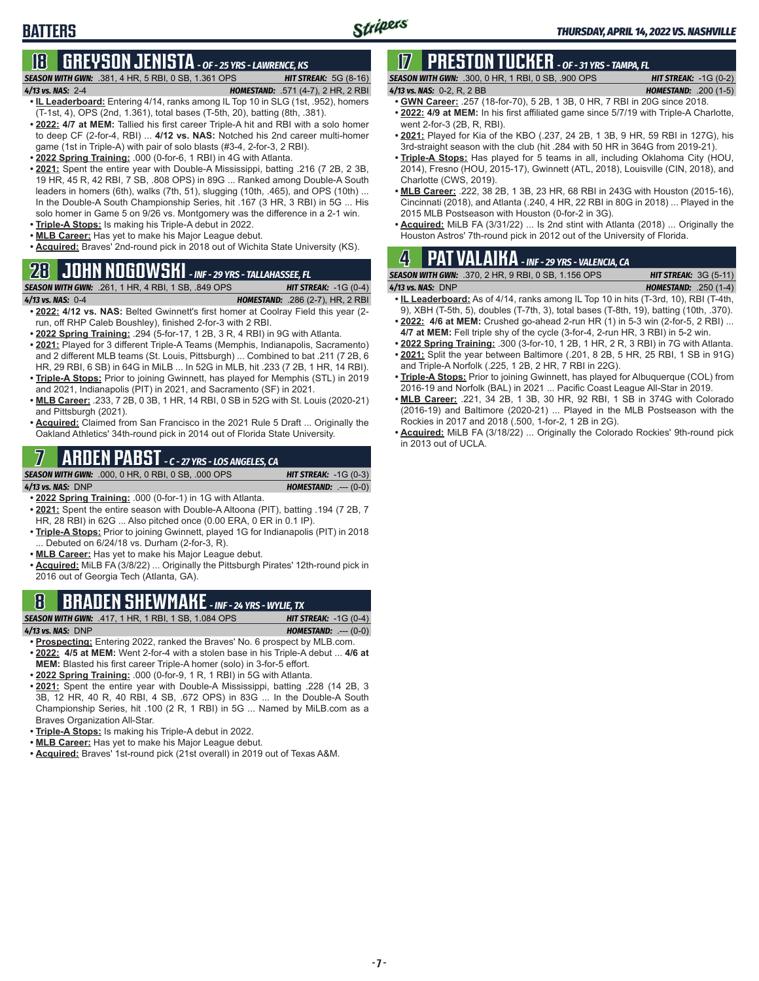### **BATTERS**

## **18 GREYSON JENISTA** *- OF - 25 YRS - LAWRENCE, KS*

#### *SEASON WITH GWN:*.381, 4 HR, 5 RBI, 0 SB, 1.361 OPS *HIT STREAK:* 5G (8-16) *4/13 vs. NAS:*2-4 *HOMESTAND:* .571 (4-7), 2 HR, 2 RBI

- **• IL Leaderboard:** Entering 4/14, ranks among IL Top 10 in SLG (1st, .952), homers (T-1st, 4), OPS (2nd, 1.361), total bases (T-5th, 20), batting (8th, .381).
- **• 2022: 4/7 at MEM:** Tallied his first career Triple-A hit and RBI with a solo homer to deep CF (2-for-4, RBI) ... **4/12 vs. NAS:** Notched his 2nd career multi-homer game (1st in Triple-A) with pair of solo blasts (#3-4, 2-for-3, 2 RBI).
- **• 2022 Spring Training:** .000 (0-for-6, 1 RBI) in 4G with Atlanta.
- **• 2021:** Spent the entire year with Double-A Mississippi, batting .216 (7 2B, 2 3B, 19 HR, 45 R, 42 RBI, 7 SB, .808 OPS) in 89G ... Ranked among Double-A South leaders in homers (6th), walks (7th, 51), slugging (10th, .465), and OPS (10th) ... In the Double-A South Championship Series, hit .167 (3 HR, 3 RBI) in 5G ... His solo homer in Game 5 on 9/26 vs. Montgomery was the difference in a 2-1 win.
- **• Triple-A Stops:** Is making his Triple-A debut in 2022.
- **• MLB Career:** Has yet to make his Major League debut. **• Acquired:** Braves' 2nd-round pick in 2018 out of Wichita State University (KS).

## **28 JOHN NOGOWSKI** *- INF - 29 YRS - TALLAHASSEE, FL*

#### *SEASON WITH GWN:*.261, 1 HR, 4 RBI, 1 SB, .849 OPS *HIT STREAK:* -1G (0-4)

- *4/13 vs. NAS:*0-4 *HOMESTAND:* .286 (2-7), HR, 2 RBI **• 2022: 4/12 vs. NAS:** Belted Gwinnett's first homer at Coolray Field this year (2 run, off RHP Caleb Boushley), finished 2-for-3 with 2 RBI.
- **• 2022 Spring Training:** .294 (5-for-17, 1 2B, 3 R, 4 RBI) in 9G with Atlanta.
- **• 2021:** Played for 3 different Triple-A Teams (Memphis, Indianapolis, Sacramento) and 2 different MLB teams (St. Louis, Pittsburgh) ... Combined to bat .211 (7 2B, 6 HR, 29 RBI, 6 SB) in 64G in MiLB ... In 52G in MLB, hit .233 (7 2B, 1 HR, 14 RBI).
- **• Triple-A Stops:** Prior to joining Gwinnett, has played for Memphis (STL) in 2019 and 2021, Indianapolis (PIT) in 2021, and Sacramento (SF) in 2021.
- **• MLB Career:** .233, 7 2B, 0 3B, 1 HR, 14 RBI, 0 SB in 52G with St. Louis (2020-21) and Pittsburgh (2021).
- **• Acquired:** Claimed from San Francisco in the 2021 Rule 5 Draft ... Originally the Oakland Athletics' 34th-round pick in 2014 out of Florida State University.

## **7 ARDEN PABST** *- C - 27 YRS - LOS ANGELES, CA*

*SEASON WITH GWN:*.000, 0 HR, 0 RBI, 0 SB, .000 OPS *HIT STREAK:* -1G (0-3)

*4/13 vs. NAS:*DNP *HOMESTAND:* .--- (0-0)

- **• 2022 Spring Training:** .000 (0-for-1) in 1G with Atlanta. **• 2021:** Spent the entire season with Double-A Altoona (PIT), batting .194 (7 2B, 7 HR, 28 RBI) in 62G ... Also pitched once (0.00 ERA, 0 ER in 0.1 IP).
- **• Triple-A Stops:** Prior to joining Gwinnett, played 1G for Indianapolis (PIT) in 2018 ... Debuted on 6/24/18 vs. Durham (2-for-3, R).
- **• MLB Career:** Has yet to make his Major League debut.
- **• Acquired:** MiLB FA (3/8/22) ... Originally the Pittsburgh Pirates' 12th-round pick in 2016 out of Georgia Tech (Atlanta, GA).

### **8 BRADEN SHEWMAKE** *- INF - 24 YRS - WYLIE, TX*

*SEASON WITH GWN:*.417, 1 HR, 1 RBI, 1 SB, 1.084 OPS *HIT STREAK:* -1G (0-4) *4/13 vs. NAS:*DNP *HOMESTAND:* .--- (0-0)

- **• Prospecting:** Entering 2022, ranked the Braves' No. 6 prospect by MLB.com.
- **• 2022: 4/5 at MEM:** Went 2-for-4 with a stolen base in his Triple-A debut ... **4/6 at MEM:** Blasted his first career Triple-A homer (solo) in 3-for-5 effort.
- **• 2022 Spring Training:** .000 (0-for-9, 1 R, 1 RBI) in 5G with Atlanta.
- **• 2021:** Spent the entire year with Double-A Mississippi, batting .228 (14 2B, 3 3B, 12 HR, 40 R, 40 RBI, 4 SB, .672 OPS) in 83G ... In the Double-A South Championship Series, hit .100 (2 R, 1 RBI) in 5G ... Named by MiLB.com as a Braves Organization All-Star.
- **• Triple-A Stops:** Is making his Triple-A debut in 2022.
- **• MLB Career:** Has yet to make his Major League debut.
- **• Acquired:** Braves' 1st-round pick (21st overall) in 2019 out of Texas A&M.

# **17 PRESTON TUCKER** *- OF - 31 YRS - TAMPA, FL*

*SEASON WITH GWN:*.300, 0 HR, 1 RBI, 0 SB, .900 OPS *HIT STREAK:* -1G (0-2) *4/13 vs. NAS:*0-2, R, 2 BB *HOMESTAND:* .200 (1-5)

- **• GWN Career:** .257 (18-for-70), 5 2B, 1 3B, 0 HR, 7 RBI in 20G since 2018. **• 2022: 4/9 at MEM:** In his first affiliated game since 5/7/19 with Triple-A Charlotte,
- went 2-for-3 (2B, R, RBI). **• 2021:** Played for Kia of the KBO (.237, 24 2B, 1 3B, 9 HR, 59 RBI in 127G), his
- 3rd-straight season with the club (hit .284 with 50 HR in 364G from 2019-21).
- **• Triple-A Stops:** Has played for 5 teams in all, including Oklahoma City (HOU, 2014), Fresno (HOU, 2015-17), Gwinnett (ATL, 2018), Louisville (CIN, 2018), and Charlotte (CWS, 2019).
- **• MLB Career:** .222, 38 2B, 1 3B, 23 HR, 68 RBI in 243G with Houston (2015-16), Cincinnati (2018), and Atlanta (.240, 4 HR, 22 RBI in 80G in 2018) ... Played in the 2015 MLB Postseason with Houston (0-for-2 in 3G).
- **• Acquired:** MiLB FA (3/31/22) ... Is 2nd stint with Atlanta (2018) ... Originally the Houston Astros' 7th-round pick in 2012 out of the University of Florida.

## **4 PAT VALAIKA** *- INF - 29 YRS - VALENCIA, CA*

*SEASON WITH GWN:*.370, 2 HR, 9 RBI, 0 SB, 1.156 OPS *HIT STREAK:* 3G (5-11)

- *4/13 vs. NAS:*DNP *HOMESTAND:* .250 (1-4) **• IL Leaderboard:** As of 4/14, ranks among IL Top 10 in hits (T-3rd, 10), RBI (T-4th,
- 9), XBH (T-5th, 5), doubles (T-7th, 3), total bases (T-8th, 19), batting (10th, .370).
- **• 2022: 4/6 at MEM:** Crushed go-ahead 2-run HR (1) in 5-3 win (2-for-5, 2 RBI) ... **4/7 at MEM:** Fell triple shy of the cycle (3-for-4, 2-run HR, 3 RBI) in 5-2 win.
- **• 2022 Spring Training:** .300 (3-for-10, 1 2B, 1 HR, 2 R, 3 RBI) in 7G with Atlanta. **• 2021:** Split the year between Baltimore (.201, 8 2B, 5 HR, 25 RBI, 1 SB in 91G)
- and Triple-A Norfolk (.225, 1 2B, 2 HR, 7 RBI in 22G). **• Triple-A Stops:** Prior to joining Gwinnett, has played for Albuquerque (COL) from
- 2016-19 and Norfolk (BAL) in 2021 ... Pacific Coast League All-Star in 2019.
- **• MLB Career:** .221, 34 2B, 1 3B, 30 HR, 92 RBI, 1 SB in 374G with Colorado (2016-19) and Baltimore (2020-21) ... Played in the MLB Postseason with the Rockies in 2017 and 2018 (.500, 1-for-2, 1 2B in 2G).
- **• Acquired:** MiLB FA (3/18/22) ... Originally the Colorado Rockies' 9th-round pick in 2013 out of UCLA.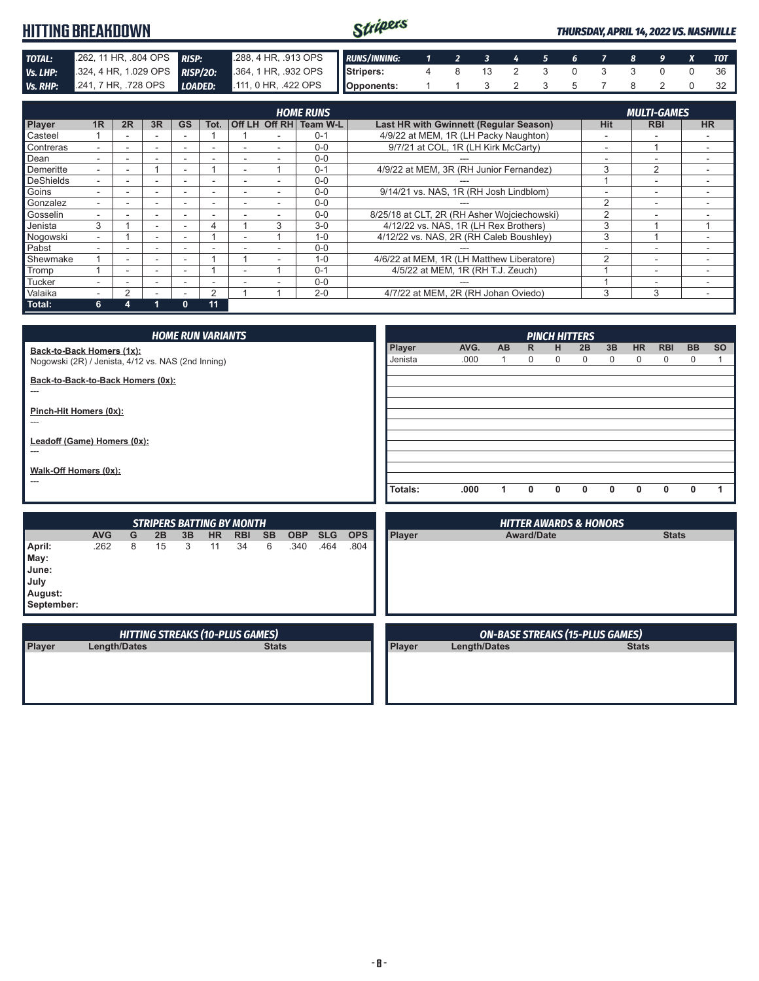| <b>HITTING BREAKDOWN</b> |                       |     |    |                             |                      |                         | Stripers                              |   |  |  |               |             |                    | <b>THURSDAY, APRIL 14, 2022 VS. NASHVILLE</b> |
|--------------------------|-----------------------|-----|----|-----------------------------|----------------------|-------------------------|---------------------------------------|---|--|--|---------------|-------------|--------------------|-----------------------------------------------|
| <b>TOTAL:</b>            | 262, 11 HR, .804 OPS  |     |    | <b>RISP:</b>                | 288, 4 HR, .913 OPS  |                         | <b>RUNS/INNING:</b>                   |   |  |  |               |             |                    | <b>TOT</b>                                    |
| Vs. LHP:                 | .324, 4 HR, 1.029 OPS |     |    | <b>RISP/20:</b>             | .364, 1 HR, .932 OPS |                         | <b>I</b> Stripers:                    | 4 |  |  |               |             |                    | 36                                            |
| <b>Vs. RHP:</b>          | .241, 7 HR, .728 OPS  |     |    | LOADED:                     | .111, 0 HR, .422 OPS |                         | Opponents:                            |   |  |  | $\mathcal{D}$ |             |                    | 32                                            |
|                          |                       |     |    |                             |                      | <b>HOME RUNS</b>        |                                       |   |  |  |               |             | <b>MULTI-GAMES</b> |                                               |
| <b>Dlaver</b>            | 4D                    | ם פ | 2D | T <sub>0</sub><br><b>CS</b> | $\sqrt{f}$           | $Off$ DH $T_{O2}$ m W.I | act HP with Cwinnott (Poquiar Soggon) |   |  |  |               | <b>Liit</b> | <b>DRI</b>         | <b>LID</b>                                    |

| Player           | 1 <sub>R</sub> | 2R | 3R | <b>GS</b>    | Tot. | Off LH Off RH | Team W-L | Last HR with Gwinnett (Regular Season)      | <b>Hit</b> | <b>RBI</b>               | <b>HR</b> |
|------------------|----------------|----|----|--------------|------|---------------|----------|---------------------------------------------|------------|--------------------------|-----------|
| Casteel          |                |    |    |              |      |               | $0 - 1$  | 4/9/22 at MEM, 1R (LH Packy Naughton)       |            |                          |           |
| Contreras        |                |    |    |              |      |               | $0 - 0$  | 9/7/21 at COL. 1R (LH Kirk McCarty)         | -          |                          |           |
| Dean             |                |    |    |              |      |               | $0 - 0$  |                                             | -          |                          |           |
| Demeritte        |                |    |    | -            |      |               | $0 - 1$  | 4/9/22 at MEM, 3R (RH Junior Fernandez)     | 3          |                          |           |
| <b>DeShields</b> |                |    |    |              |      |               | $0 - 0$  |                                             |            |                          |           |
| Goins            |                |    |    |              |      |               | $0 - 0$  | 9/14/21 vs. NAS, 1R (RH Josh Lindblom)      |            |                          |           |
| Gonzalez         |                |    |    |              |      |               | $0 - 0$  |                                             |            |                          |           |
| Gosselin         |                |    |    |              |      |               | $0 - 0$  | 8/25/18 at CLT, 2R (RH Asher Wojciechowski) |            | $\overline{\phantom{0}}$ |           |
| Jenista          | 3              |    |    |              | 4    | 3             | $3-0$    | 4/12/22 vs. NAS, 1R (LH Rex Brothers)       | 3          |                          |           |
| Nogowski         |                |    |    |              |      |               | $1 - 0$  | 4/12/22 vs. NAS, 2R (RH Caleb Boushlev)     | 3          |                          |           |
| Pabst            |                |    |    |              |      |               | $0 - 0$  |                                             |            |                          |           |
| Shewmake         |                |    |    |              |      |               | $1 - 0$  | 4/6/22 at MEM, 1R (LH Matthew Liberatore)   |            |                          |           |
| Tromp            |                |    |    |              |      |               | $0 - 1$  | 4/5/22 at MEM, 1R (RH T.J. Zeuch)           |            | -                        |           |
| Tucker           |                |    |    |              |      |               | $0 - 0$  |                                             |            | -                        |           |
| Valaika          |                | 2  |    |              | 2    |               | $2 - 0$  | 4/7/22 at MEM. 2R (RH Johan Oviedo)         | 3          | 3                        |           |
| Total:           | 6              |    |    | $\mathbf{0}$ | 11   |               |          |                                             |            |                          |           |

| <b>HOME RUN VARIANTS</b>                                                        |                                                                        |   |    |    |           |                                  |           |              |            |            |         |              |                                        |                          | <b>PINCH HITTERS</b> |                                   |              |                          |                 |                          |           |
|---------------------------------------------------------------------------------|------------------------------------------------------------------------|---|----|----|-----------|----------------------------------|-----------|--------------|------------|------------|---------|--------------|----------------------------------------|--------------------------|----------------------|-----------------------------------|--------------|--------------------------|-----------------|--------------------------|-----------|
| Back-to-Back Homers (1x):<br>Nogowski (2R) / Jenista, 4/12 vs. NAS (2nd Inning) |                                                                        |   |    |    |           |                                  |           |              |            |            |         | AVG.<br>.000 | AB                                     | $\mathsf{R}$<br>$\Omega$ | н<br>0               | 2B<br>0                           | 3B<br>0      | <b>HR</b><br>$\mathbf 0$ | <b>RBI</b><br>0 | <b>BB</b><br>$\mathbf 0$ | <b>SO</b> |
| Back-to-Back-to-Back Homers (0x):<br>$---$                                      |                                                                        |   |    |    |           |                                  |           |              |            |            |         |              |                                        |                          |                      |                                   |              |                          |                 |                          |           |
| Pinch-Hit Homers (0x):<br>---                                                   |                                                                        |   |    |    |           |                                  |           |              |            |            |         |              |                                        |                          |                      |                                   |              |                          |                 |                          |           |
| Leadoff (Game) Homers (0x):<br>$---$                                            |                                                                        |   |    |    |           |                                  |           |              |            |            |         |              |                                        |                          |                      |                                   |              |                          |                 |                          |           |
| Walk-Off Homers (0x):<br>---                                                    |                                                                        |   |    |    |           |                                  |           |              |            |            |         |              |                                        |                          |                      |                                   |              |                          |                 |                          |           |
|                                                                                 |                                                                        |   |    |    |           |                                  |           |              |            |            | Totals: | .000         | 1                                      | $\mathbf{0}$             | 0                    | 0                                 | $\mathbf{0}$ | 0                        | $\mathbf{0}$    | 0                        | 1         |
|                                                                                 |                                                                        |   |    |    |           | <b>STRIPERS BATTING BY MONTH</b> |           |              |            |            |         |              |                                        |                          |                      | <b>HITTER AWARDS &amp; HONORS</b> |              |                          |                 |                          |           |
|                                                                                 | <b>AVG</b>                                                             | G | 2B | 3B | <b>HR</b> | <b>RBI</b>                       | <b>SB</b> | <b>OBP</b>   | <b>SLG</b> | <b>OPS</b> | Player  |              |                                        | <b>Award/Date</b>        |                      |                                   |              |                          | <b>Stats</b>    |                          |           |
| April:<br>May:<br>June:<br>July<br>August:<br>September:                        | .262                                                                   | 8 | 15 | 3  | 11        | 34                               | 6         | .340         | .464       | .804       |         |              |                                        |                          |                      |                                   |              |                          |                 |                          |           |
|                                                                                 |                                                                        |   |    |    |           |                                  |           |              |            |            |         |              | <b>ON-BASE STREAKS (15-PLUS GAMES)</b> |                          |                      |                                   |              |                          |                 |                          |           |
| Player                                                                          | <b>HITTING STREAKS (10-PLUS GAMES)</b><br>Length/Dates<br><b>Stats</b> |   |    |    |           |                                  | Player    | Length/Dates |            |            |         |              |                                        | <b>Stats</b>             |                      |                                   |              |                          |                 |                          |           |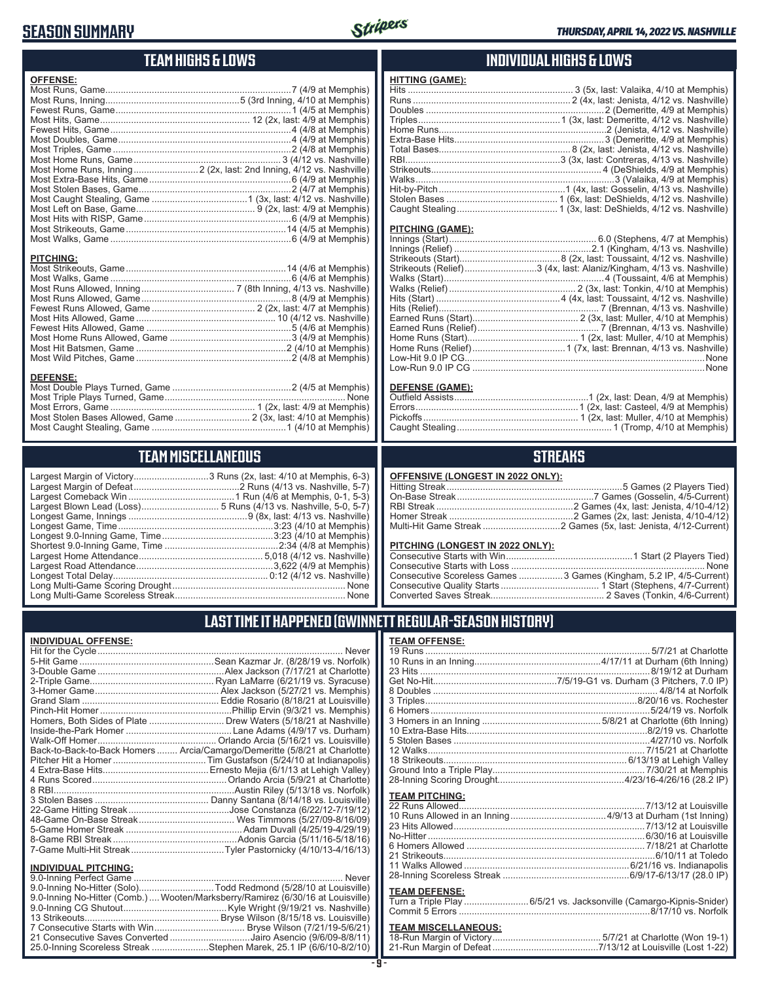### **SEASON SUMMARY**



### **TEAM HIGHS & LOWS**

| <b>OFFENSE:</b>  |  |
|------------------|--|
|                  |  |
|                  |  |
|                  |  |
|                  |  |
|                  |  |
|                  |  |
|                  |  |
|                  |  |
|                  |  |
|                  |  |
|                  |  |
|                  |  |
|                  |  |
|                  |  |
|                  |  |
|                  |  |
| <b>PITCHING:</b> |  |
|                  |  |
|                  |  |

Most Walks, Game ......................................................................6 (4/6 at Memphis) Most Runs Allowed, Inning .................................... 7 (8th Inning, 4/13 vs. Nashville) Most Runs Allowed, Game ..........................................................8 (4/9 at Memphis) Fewest Runs Allowed, Game ........................................ 2 (2x, last: 4/7 at Memphis) Most Hits Allowed, Game ...................................................... 10 (4/12 vs. Nashville) Fewest Hits Allowed, Game ........................................................5 (4/6 at Memphis) Most Home Runs Allowed, Game ...............................................3 (4/9 at Memphis) Most Hit Batsmen, Game ..........................................................2 (4/10 at Memphis) Most Wild Pitches, Game ............................................................2 (4/8 at Memphis)

**DEFENSE:** Most Double Plays Turned, Game ..............................................2 (4/5 at Memphis) Most Triple Plays Turned, Game ...................................................................... None Most Errors, Game ........................................................ 1 (2x, last: 4/9 at Memphis) Most Stolen Bases Allowed, Game ............................. 2 (3x, last: 4/10 at Memphis) Most Caught Stealing, Game ....................................................1 (4/10 at Memphis)

**TEAM MISCELLANEOUS** Largest Margin of Victory.............................3 Runs (2x, last: 4/10 at Memphis, 6-3) Largest Margin of Defeat .........................................2 Runs (4/13 vs. Nashville, 5-7) Largest Comeback Win .........................................1 Run (4/6 at Memphis, 0-1, 5-3) Largest Blown Lead (Loss).............................. 5 Runs (4/13 vs. Nashville, 5-0, 5-7) Longest Game, Innings ..............................................9 (8x, last: 4/13 vs. Nashville) Longest Game, Time ............................................................3:23 (4/10 at Memphis) Longest 9.0-Inning Game, Time ...........................................3:23 (4/10 at Memphis) Shortest 9.0-Inning Game, Time ............................................2:34 (4/8 at Memphis) Largest Home Attendance ................................................ 5,018 (4/12 vs. Nashville) Largest Road Attendance .....................................................3,622 (4/9 at Memphis) Longest Total Delay............................................................ 0:12 (4/12 vs. Nashville) Long Multi-Game Scoring Drought ................................................................... None Long Multi-Game Scoreless Streak .................................................................. None

#### **INDIVIDUAL HIGHS & LOWS**

| .                                                                       |  |
|-------------------------------------------------------------------------|--|
|                                                                         |  |
|                                                                         |  |
|                                                                         |  |
|                                                                         |  |
|                                                                         |  |
|                                                                         |  |
|                                                                         |  |
|                                                                         |  |
|                                                                         |  |
|                                                                         |  |
| Hit-by-Pitch……………………………………………1 (4x, last: Gosselin, 4/13 vs. Nashville) |  |
|                                                                         |  |
|                                                                         |  |
|                                                                         |  |

#### **PITCHING (GAME):**

**HITTING (GAME):**

| Strikeouts (Relief)3 (4x, last: Alaniz/Kingham, 4/13 vs. Nashville) |
|---------------------------------------------------------------------|
|                                                                     |
|                                                                     |
|                                                                     |
|                                                                     |
|                                                                     |
|                                                                     |
|                                                                     |
|                                                                     |
| . None                                                              |
|                                                                     |
|                                                                     |

#### **DEFENSE (GAME):**

#### **STREAKS**

#### **PITCHING (LONGEST IN 2022 ONLY):**

| Consecutive Scoreless Games  3 Games (Kingham, 5.2 IP, 4/5-Current) |
|---------------------------------------------------------------------|
|                                                                     |
|                                                                     |

#### **LAST TIME IT HAPPENED (GWINNETT REGULAR-SEASON HISTORY)**

#### **INDIVIDUAL OFFENSE:**

|                                                            | Homers, Both Sides of Plate  Drew Waters (5/18/21 at Nashville)            |
|------------------------------------------------------------|----------------------------------------------------------------------------|
|                                                            |                                                                            |
|                                                            |                                                                            |
|                                                            | Back-to-Back-to-Back Homers  Arcia/Camargo/Demeritte (5/8/21 at Charlotte) |
|                                                            |                                                                            |
|                                                            |                                                                            |
|                                                            |                                                                            |
|                                                            |                                                                            |
|                                                            |                                                                            |
|                                                            |                                                                            |
|                                                            |                                                                            |
|                                                            |                                                                            |
|                                                            |                                                                            |
|                                                            |                                                                            |
|                                                            |                                                                            |
| <b>INDIVIDUAL PITCHING:</b><br>0.0 Institute Deutsch-Compa | <b>N</b> Lassau                                                            |

| <b>INDIVIDUAL PITURING.</b> |                                                                                |
|-----------------------------|--------------------------------------------------------------------------------|
|                             |                                                                                |
|                             | 9.0-Inning No-Hitter (Solo)Todd Redmond (5/28/10 at Louisville)                |
|                             | 9.0-Inning No-Hitter (Comb.) Wooten/Marksberry/Ramirez (6/30/16 at Louisville) |
|                             |                                                                                |
|                             |                                                                                |
|                             |                                                                                |
|                             | 21 Consecutive Saves Converted Jairo Asencio (9/6/09-8/8/11)                   |
|                             | 25.0-Inning Scoreless Streak Stephen Marek, 25.1 IP (6/6/10-8/2/10)            |
|                             |                                                                                |

#### **TEAM OFFENSE:**

| <b>TEAM PITCHING:</b> |                                                                    |
|-----------------------|--------------------------------------------------------------------|
|                       |                                                                    |
|                       |                                                                    |
|                       | 23 Hits Allowed…………………………………………………………………7/13/12 at Louisville      |
|                       |                                                                    |
|                       |                                                                    |
|                       |                                                                    |
|                       |                                                                    |
|                       |                                                                    |
|                       |                                                                    |
| <b>TEAM DEFENSE:</b>  |                                                                    |
|                       | Turn a Triple Play 6/5/21 vs. Jacksonville (Camargo-Kipnis-Snider) |

#### **TEAM MISCELLANEOUS:**

| 21-Run Margin of Defeat…………………………………7/13/12 at Louisville (Lost 1-22) |
|-----------------------------------------------------------------------|